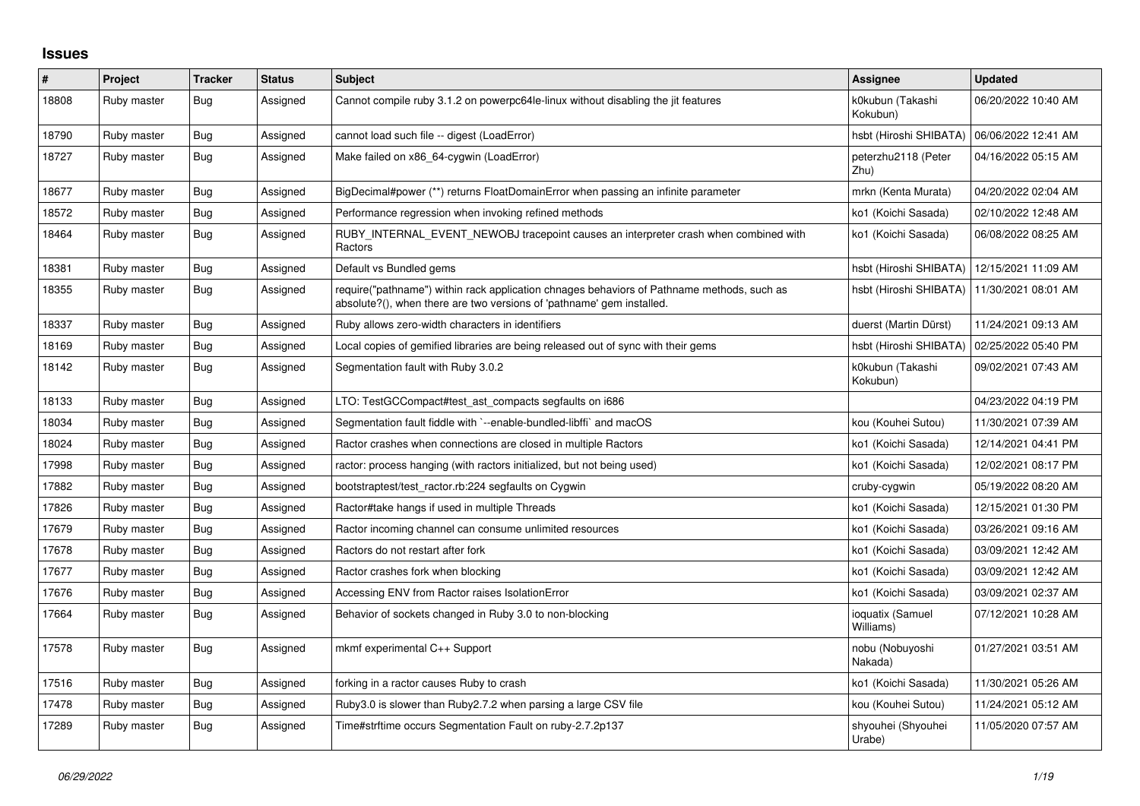## **Issues**

| $\vert$ # | Project     | <b>Tracker</b> | <b>Status</b> | <b>Subject</b>                                                                                                                                                      | <b>Assignee</b>               | <b>Updated</b>      |
|-----------|-------------|----------------|---------------|---------------------------------------------------------------------------------------------------------------------------------------------------------------------|-------------------------------|---------------------|
| 18808     | Ruby master | <b>Bug</b>     | Assigned      | Cannot compile ruby 3.1.2 on powerpc64le-linux without disabling the jit features                                                                                   | k0kubun (Takashi<br>Kokubun)  | 06/20/2022 10:40 AM |
| 18790     | Ruby master | Bug            | Assigned      | cannot load such file -- digest (LoadError)                                                                                                                         | hsbt (Hiroshi SHIBATA)        | 06/06/2022 12:41 AM |
| 18727     | Ruby master | <b>Bug</b>     | Assigned      | Make failed on x86 64-cygwin (LoadError)                                                                                                                            | peterzhu2118 (Peter<br>Zhu)   | 04/16/2022 05:15 AM |
| 18677     | Ruby master | Bug            | Assigned      | BigDecimal#power (**) returns FloatDomainError when passing an infinite parameter                                                                                   | mrkn (Kenta Murata)           | 04/20/2022 02:04 AM |
| 18572     | Ruby master | <b>Bug</b>     | Assigned      | Performance regression when invoking refined methods                                                                                                                | ko1 (Koichi Sasada)           | 02/10/2022 12:48 AM |
| 18464     | Ruby master | <b>Bug</b>     | Assigned      | RUBY_INTERNAL_EVENT_NEWOBJ tracepoint causes an interpreter crash when combined with<br>Ractors                                                                     | ko1 (Koichi Sasada)           | 06/08/2022 08:25 AM |
| 18381     | Ruby master | Bug            | Assigned      | Default vs Bundled gems                                                                                                                                             | hsbt (Hiroshi SHIBATA)        | 12/15/2021 11:09 AM |
| 18355     | Ruby master | Bug            | Assigned      | require("pathname") within rack application chnages behaviors of Pathname methods, such as<br>absolute?(), when there are two versions of 'pathname' gem installed. | hsbt (Hiroshi SHIBATA)        | 11/30/2021 08:01 AM |
| 18337     | Ruby master | <b>Bug</b>     | Assigned      | Ruby allows zero-width characters in identifiers                                                                                                                    | duerst (Martin Dürst)         | 11/24/2021 09:13 AM |
| 18169     | Ruby master | Bug            | Assigned      | Local copies of gemified libraries are being released out of sync with their gems                                                                                   | hsbt (Hiroshi SHIBATA)        | 02/25/2022 05:40 PM |
| 18142     | Ruby master | Bug            | Assigned      | Segmentation fault with Ruby 3.0.2                                                                                                                                  | k0kubun (Takashi<br>Kokubun)  | 09/02/2021 07:43 AM |
| 18133     | Ruby master | Bug            | Assigned      | LTO: TestGCCompact#test_ast_compacts segfaults on i686                                                                                                              |                               | 04/23/2022 04:19 PM |
| 18034     | Ruby master | Bug            | Assigned      | Segmentation fault fiddle with `--enable-bundled-libffi` and macOS                                                                                                  | kou (Kouhei Sutou)            | 11/30/2021 07:39 AM |
| 18024     | Ruby master | Bug            | Assigned      | Ractor crashes when connections are closed in multiple Ractors                                                                                                      | ko1 (Koichi Sasada)           | 12/14/2021 04:41 PM |
| 17998     | Ruby master | <b>Bug</b>     | Assigned      | ractor: process hanging (with ractors initialized, but not being used)                                                                                              | ko1 (Koichi Sasada)           | 12/02/2021 08:17 PM |
| 17882     | Ruby master | <b>Bug</b>     | Assigned      | bootstraptest/test_ractor.rb:224 segfaults on Cygwin                                                                                                                | cruby-cygwin                  | 05/19/2022 08:20 AM |
| 17826     | Ruby master | <b>Bug</b>     | Assigned      | Ractor#take hangs if used in multiple Threads                                                                                                                       | ko1 (Koichi Sasada)           | 12/15/2021 01:30 PM |
| 17679     | Ruby master | Bug            | Assigned      | Ractor incoming channel can consume unlimited resources                                                                                                             | ko1 (Koichi Sasada)           | 03/26/2021 09:16 AM |
| 17678     | Ruby master | <b>Bug</b>     | Assigned      | Ractors do not restart after fork                                                                                                                                   | ko1 (Koichi Sasada)           | 03/09/2021 12:42 AM |
| 17677     | Ruby master | Bug            | Assigned      | Ractor crashes fork when blocking                                                                                                                                   | ko1 (Koichi Sasada)           | 03/09/2021 12:42 AM |
| 17676     | Ruby master | Bug            | Assigned      | Accessing ENV from Ractor raises IsolationError                                                                                                                     | ko1 (Koichi Sasada)           | 03/09/2021 02:37 AM |
| 17664     | Ruby master | <b>Bug</b>     | Assigned      | Behavior of sockets changed in Ruby 3.0 to non-blocking                                                                                                             | ioquatix (Samuel<br>Williams) | 07/12/2021 10:28 AM |
| 17578     | Ruby master | <b>Bug</b>     | Assigned      | mkmf experimental C++ Support                                                                                                                                       | nobu (Nobuyoshi<br>Nakada)    | 01/27/2021 03:51 AM |
| 17516     | Ruby master | <b>Bug</b>     | Assigned      | forking in a ractor causes Ruby to crash                                                                                                                            | ko1 (Koichi Sasada)           | 11/30/2021 05:26 AM |
| 17478     | Ruby master | Bug            | Assigned      | Ruby3.0 is slower than Ruby2.7.2 when parsing a large CSV file                                                                                                      | kou (Kouhei Sutou)            | 11/24/2021 05:12 AM |
| 17289     | Ruby master | Bug            | Assigned      | Time#strftime occurs Segmentation Fault on ruby-2.7.2p137                                                                                                           | shyouhei (Shyouhei<br>Urabe)  | 11/05/2020 07:57 AM |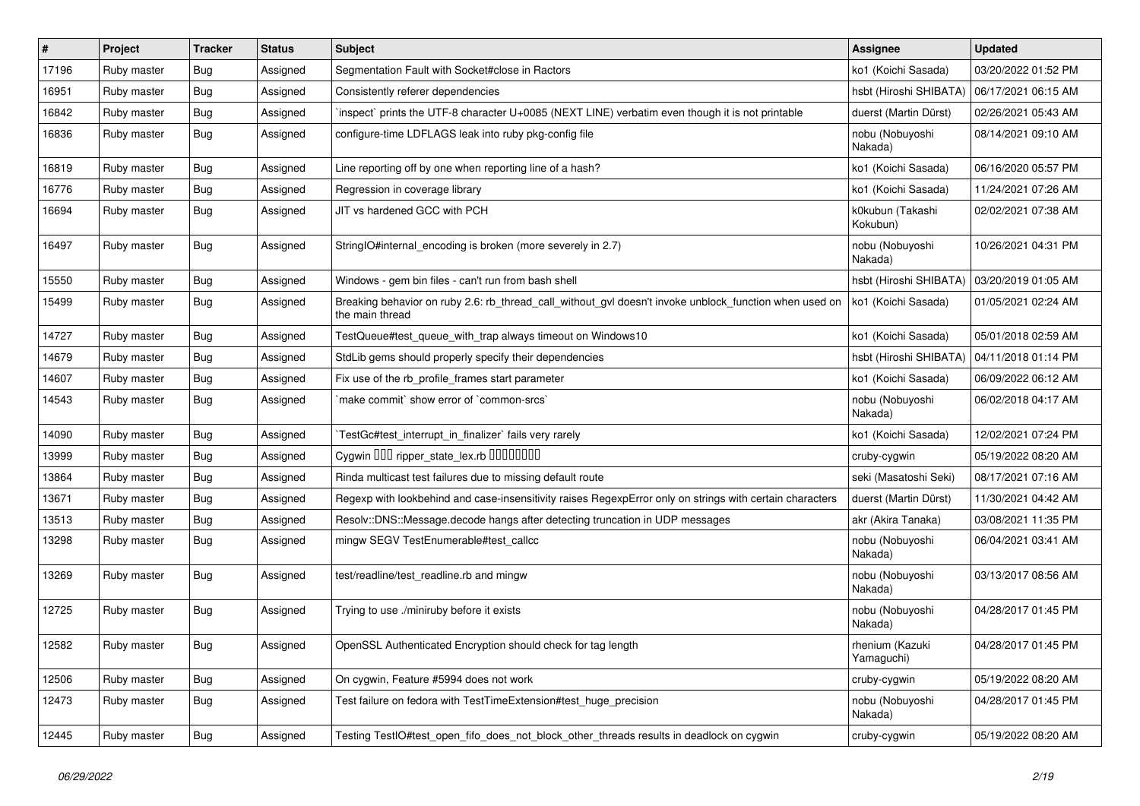| $\vert$ # | Project     | <b>Tracker</b> | <b>Status</b> | <b>Subject</b>                                                                                                            | Assignee                      | <b>Updated</b>      |
|-----------|-------------|----------------|---------------|---------------------------------------------------------------------------------------------------------------------------|-------------------------------|---------------------|
| 17196     | Ruby master | Bug            | Assigned      | Segmentation Fault with Socket#close in Ractors                                                                           | ko1 (Koichi Sasada)           | 03/20/2022 01:52 PM |
| 16951     | Ruby master | <b>Bug</b>     | Assigned      | Consistently referer dependencies                                                                                         | hsbt (Hiroshi SHIBATA)        | 06/17/2021 06:15 AM |
| 16842     | Ruby master | <b>Bug</b>     | Assigned      | inspect` prints the UTF-8 character U+0085 (NEXT LINE) verbatim even though it is not printable                           | duerst (Martin Dürst)         | 02/26/2021 05:43 AM |
| 16836     | Ruby master | <b>Bug</b>     | Assigned      | configure-time LDFLAGS leak into ruby pkg-config file                                                                     | nobu (Nobuyoshi<br>Nakada)    | 08/14/2021 09:10 AM |
| 16819     | Ruby master | <b>Bug</b>     | Assigned      | Line reporting off by one when reporting line of a hash?                                                                  | ko1 (Koichi Sasada)           | 06/16/2020 05:57 PM |
| 16776     | Ruby master | <b>Bug</b>     | Assigned      | Regression in coverage library                                                                                            | ko1 (Koichi Sasada)           | 11/24/2021 07:26 AM |
| 16694     | Ruby master | Bug            | Assigned      | JIT vs hardened GCC with PCH                                                                                              | k0kubun (Takashi<br>Kokubun)  | 02/02/2021 07:38 AM |
| 16497     | Ruby master | <b>Bug</b>     | Assigned      | StringIO#internal encoding is broken (more severely in 2.7)                                                               | nobu (Nobuyoshi<br>Nakada)    | 10/26/2021 04:31 PM |
| 15550     | Ruby master | <b>Bug</b>     | Assigned      | Windows - gem bin files - can't run from bash shell                                                                       | hsbt (Hiroshi SHIBATA)        | 03/20/2019 01:05 AM |
| 15499     | Ruby master | <b>Bug</b>     | Assigned      | Breaking behavior on ruby 2.6: rb_thread_call_without_gvl doesn't invoke unblock_function when used on<br>the main thread | ko1 (Koichi Sasada)           | 01/05/2021 02:24 AM |
| 14727     | Ruby master | <b>Bug</b>     | Assigned      | TestQueue#test_queue_with_trap always timeout on Windows10                                                                | ko1 (Koichi Sasada)           | 05/01/2018 02:59 AM |
| 14679     | Ruby master | <b>Bug</b>     | Assigned      | StdLib gems should properly specify their dependencies                                                                    | hsbt (Hiroshi SHIBATA)        | 04/11/2018 01:14 PM |
| 14607     | Ruby master | Bug            | Assigned      | Fix use of the rb_profile_frames start parameter                                                                          | ko1 (Koichi Sasada)           | 06/09/2022 06:12 AM |
| 14543     | Ruby master | <b>Bug</b>     | Assigned      | make commit' show error of 'common-srcs'                                                                                  | nobu (Nobuyoshi<br>Nakada)    | 06/02/2018 04:17 AM |
| 14090     | Ruby master | Bug            | Assigned      | TestGc#test interrupt in finalizer` fails very rarely                                                                     | ko1 (Koichi Sasada)           | 12/02/2021 07:24 PM |
| 13999     | Ruby master | Bug            | Assigned      | Cygwin 000 ripper_state_lex.rb 0000000                                                                                    | cruby-cygwin                  | 05/19/2022 08:20 AM |
| 13864     | Ruby master | <b>Bug</b>     | Assigned      | Rinda multicast test failures due to missing default route                                                                | seki (Masatoshi Seki)         | 08/17/2021 07:16 AM |
| 13671     | Ruby master | Bug            | Assigned      | Regexp with lookbehind and case-insensitivity raises RegexpError only on strings with certain characters                  | duerst (Martin Dürst)         | 11/30/2021 04:42 AM |
| 13513     | Ruby master | Bug            | Assigned      | Resolv::DNS::Message.decode hangs after detecting truncation in UDP messages                                              | akr (Akira Tanaka)            | 03/08/2021 11:35 PM |
| 13298     | Ruby master | <b>Bug</b>     | Assigned      | mingw SEGV TestEnumerable#test callcc                                                                                     | nobu (Nobuyoshi<br>Nakada)    | 06/04/2021 03:41 AM |
| 13269     | Ruby master | <b>Bug</b>     | Assigned      | test/readline/test_readline.rb and mingw                                                                                  | nobu (Nobuyoshi<br>Nakada)    | 03/13/2017 08:56 AM |
| 12725     | Ruby master | <b>Bug</b>     | Assigned      | Trying to use ./miniruby before it exists                                                                                 | nobu (Nobuyoshi<br>Nakada)    | 04/28/2017 01:45 PM |
| 12582     | Ruby master | <b>Bug</b>     | Assigned      | OpenSSL Authenticated Encryption should check for tag length                                                              | rhenium (Kazuki<br>Yamaguchi) | 04/28/2017 01:45 PM |
| 12506     | Ruby master | Bug            | Assigned      | On cygwin, Feature #5994 does not work                                                                                    | cruby-cygwin                  | 05/19/2022 08:20 AM |
| 12473     | Ruby master | Bug            | Assigned      | Test failure on fedora with TestTimeExtension#test huge precision                                                         | nobu (Nobuyoshi<br>Nakada)    | 04/28/2017 01:45 PM |
| 12445     | Ruby master | Bug            | Assigned      | Testing TestIO#test open fifo does not block other threads results in deadlock on cygwin                                  | cruby-cygwin                  | 05/19/2022 08:20 AM |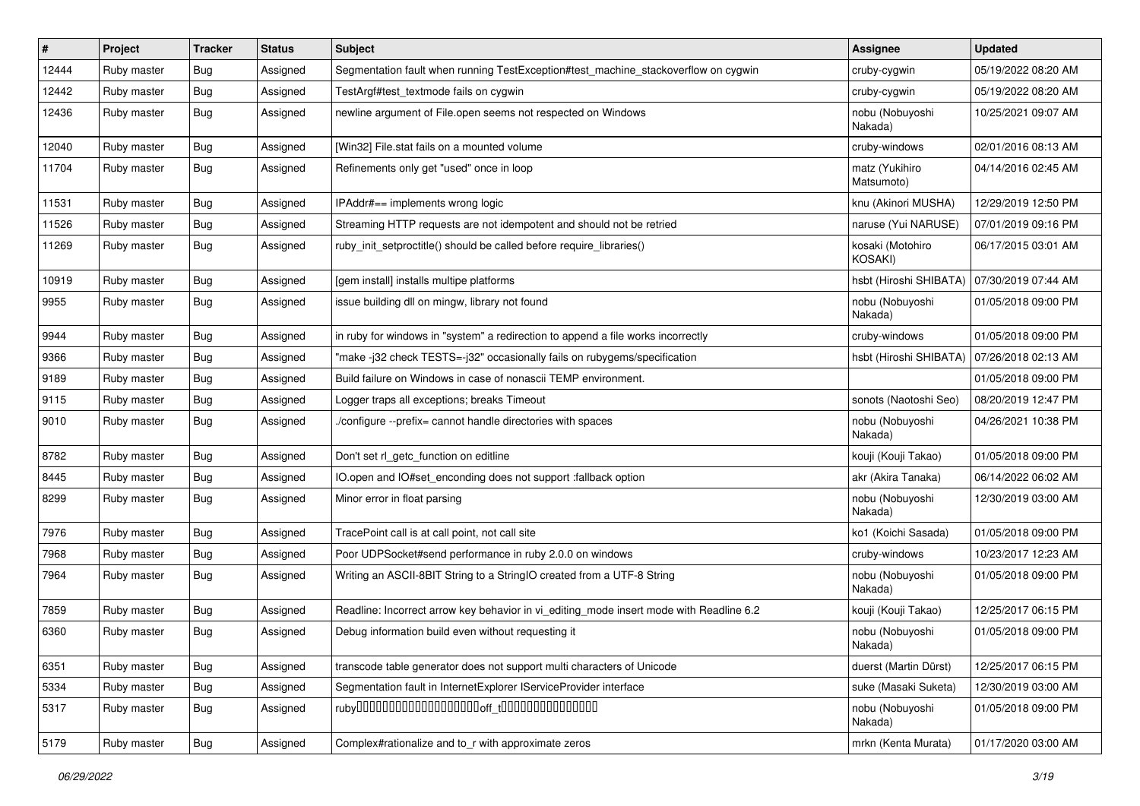| $\vert$ # | Project     | <b>Tracker</b> | <b>Status</b> | <b>Subject</b>                                                                          | Assignee                           | <b>Updated</b>      |
|-----------|-------------|----------------|---------------|-----------------------------------------------------------------------------------------|------------------------------------|---------------------|
| 12444     | Ruby master | <b>Bug</b>     | Assigned      | Segmentation fault when running TestException#test machine stackoverflow on cygwin      | cruby-cygwin                       | 05/19/2022 08:20 AM |
| 12442     | Ruby master | <b>Bug</b>     | Assigned      | TestArgf#test_textmode fails on cygwin                                                  | cruby-cygwin                       | 05/19/2022 08:20 AM |
| 12436     | Ruby master | <b>Bug</b>     | Assigned      | newline argument of File.open seems not respected on Windows                            | nobu (Nobuyoshi<br>Nakada)         | 10/25/2021 09:07 AM |
| 12040     | Ruby master | Bug            | Assigned      | [Win32] File.stat fails on a mounted volume                                             | cruby-windows                      | 02/01/2016 08:13 AM |
| 11704     | Ruby master | <b>Bug</b>     | Assigned      | Refinements only get "used" once in loop                                                | matz (Yukihiro<br>Matsumoto)       | 04/14/2016 02:45 AM |
| 11531     | Ruby master | Bug            | Assigned      | IPAddr#== implements wrong logic                                                        | knu (Akinori MUSHA)                | 12/29/2019 12:50 PM |
| 11526     | Ruby master | <b>Bug</b>     | Assigned      | Streaming HTTP requests are not idempotent and should not be retried                    | naruse (Yui NARUSE)                | 07/01/2019 09:16 PM |
| 11269     | Ruby master | Bug            | Assigned      | ruby_init_setproctitle() should be called before require_libraries()                    | kosaki (Motohiro<br><b>KOSAKI)</b> | 06/17/2015 03:01 AM |
| 10919     | Ruby master | Bug            | Assigned      | [gem install] installs multipe platforms                                                | hsbt (Hiroshi SHIBATA)             | 07/30/2019 07:44 AM |
| 9955      | Ruby master | <b>Bug</b>     | Assigned      | issue building dll on mingw, library not found                                          | nobu (Nobuyoshi<br>Nakada)         | 01/05/2018 09:00 PM |
| 9944      | Ruby master | Bug            | Assigned      | in ruby for windows in "system" a redirection to append a file works incorrectly        | cruby-windows                      | 01/05/2018 09:00 PM |
| 9366      | Ruby master | Bug            | Assigned      | "make-j32 check TESTS=-j32" occasionally fails on rubygems/specification                | hsbt (Hiroshi SHIBATA)             | 07/26/2018 02:13 AM |
| 9189      | Ruby master | Bug            | Assigned      | Build failure on Windows in case of nonascii TEMP environment.                          |                                    | 01/05/2018 09:00 PM |
| 9115      | Ruby master | <b>Bug</b>     | Assigned      | Logger traps all exceptions; breaks Timeout                                             | sonots (Naotoshi Seo)              | 08/20/2019 12:47 PM |
| 9010      | Ruby master | Bug            | Assigned      | /configure --prefix= cannot handle directories with spaces                              | nobu (Nobuyoshi<br>Nakada)         | 04/26/2021 10:38 PM |
| 8782      | Ruby master | <b>Bug</b>     | Assigned      | Don't set rl_getc_function on editline                                                  | kouji (Kouji Takao)                | 01/05/2018 09:00 PM |
| 8445      | Ruby master | <b>Bug</b>     | Assigned      | IO.open and IO#set enconding does not support :fallback option                          | akr (Akira Tanaka)                 | 06/14/2022 06:02 AM |
| 8299      | Ruby master | <b>Bug</b>     | Assigned      | Minor error in float parsing                                                            | nobu (Nobuyoshi<br>Nakada)         | 12/30/2019 03:00 AM |
| 7976      | Ruby master | Bug            | Assigned      | TracePoint call is at call point, not call site                                         | ko1 (Koichi Sasada)                | 01/05/2018 09:00 PM |
| 7968      | Ruby master | Bug            | Assigned      | Poor UDPSocket#send performance in ruby 2.0.0 on windows                                | cruby-windows                      | 10/23/2017 12:23 AM |
| 7964      | Ruby master | Bug            | Assigned      | Writing an ASCII-8BIT String to a StringIO created from a UTF-8 String                  | nobu (Nobuyoshi<br>Nakada)         | 01/05/2018 09:00 PM |
| 7859      | Ruby master | Bug            | Assigned      | Readline: Incorrect arrow key behavior in vi_editing_mode insert mode with Readline 6.2 | kouji (Kouji Takao)                | 12/25/2017 06:15 PM |
| 6360      | Ruby master | Bug            | Assigned      | Debug information build even without requesting it                                      | nobu (Nobuyoshi<br>Nakada)         | 01/05/2018 09:00 PM |
| 6351      | Ruby master | <b>Bug</b>     | Assigned      | transcode table generator does not support multi characters of Unicode                  | duerst (Martin Dürst)              | 12/25/2017 06:15 PM |
| 5334      | Ruby master | <b>Bug</b>     | Assigned      | Segmentation fault in InternetExplorer IServiceProvider interface                       | suke (Masaki Suketa)               | 12/30/2019 03:00 AM |
| 5317      | Ruby master | Bug            | Assigned      |                                                                                         | nobu (Nobuyoshi<br>Nakada)         | 01/05/2018 09:00 PM |
| 5179      | Ruby master | Bug            | Assigned      | Complex#rationalize and to r with approximate zeros                                     | mrkn (Kenta Murata)                | 01/17/2020 03:00 AM |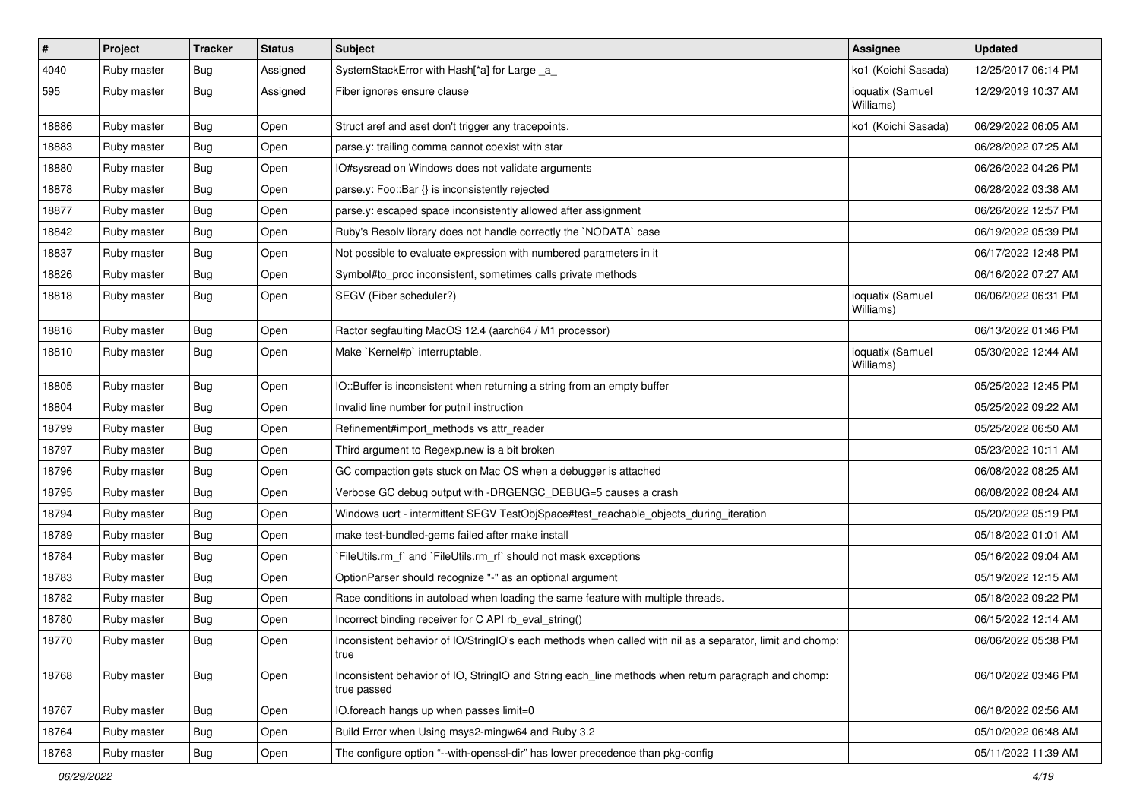| $\sharp$ | Project     | <b>Tracker</b> | <b>Status</b> | Subject                                                                                                            | <b>Assignee</b>               | <b>Updated</b>      |
|----------|-------------|----------------|---------------|--------------------------------------------------------------------------------------------------------------------|-------------------------------|---------------------|
| 4040     | Ruby master | Bug            | Assigned      | SystemStackError with Hash[*a] for Large _a_                                                                       | ko1 (Koichi Sasada)           | 12/25/2017 06:14 PM |
| 595      | Ruby master | Bug            | Assigned      | Fiber ignores ensure clause                                                                                        | ioquatix (Samuel<br>Williams) | 12/29/2019 10:37 AM |
| 18886    | Ruby master | <b>Bug</b>     | Open          | Struct aref and aset don't trigger any tracepoints.                                                                | ko1 (Koichi Sasada)           | 06/29/2022 06:05 AM |
| 18883    | Ruby master | <b>Bug</b>     | Open          | parse.y: trailing comma cannot coexist with star                                                                   |                               | 06/28/2022 07:25 AM |
| 18880    | Ruby master | Bug            | Open          | IO#sysread on Windows does not validate arguments                                                                  |                               | 06/26/2022 04:26 PM |
| 18878    | Ruby master | <b>Bug</b>     | Open          | parse.y: Foo::Bar {} is inconsistently rejected                                                                    |                               | 06/28/2022 03:38 AM |
| 18877    | Ruby master | <b>Bug</b>     | Open          | parse.y: escaped space inconsistently allowed after assignment                                                     |                               | 06/26/2022 12:57 PM |
| 18842    | Ruby master | <b>Bug</b>     | Open          | Ruby's Resolv library does not handle correctly the `NODATA` case                                                  |                               | 06/19/2022 05:39 PM |
| 18837    | Ruby master | <b>Bug</b>     | Open          | Not possible to evaluate expression with numbered parameters in it                                                 |                               | 06/17/2022 12:48 PM |
| 18826    | Ruby master | <b>Bug</b>     | Open          | Symbol#to_proc inconsistent, sometimes calls private methods                                                       |                               | 06/16/2022 07:27 AM |
| 18818    | Ruby master | <b>Bug</b>     | Open          | SEGV (Fiber scheduler?)                                                                                            | ioquatix (Samuel<br>Williams) | 06/06/2022 06:31 PM |
| 18816    | Ruby master | <b>Bug</b>     | Open          | Ractor segfaulting MacOS 12.4 (aarch64 / M1 processor)                                                             |                               | 06/13/2022 01:46 PM |
| 18810    | Ruby master | <b>Bug</b>     | Open          | Make `Kernel#p` interruptable.                                                                                     | ioquatix (Samuel<br>Williams) | 05/30/2022 12:44 AM |
| 18805    | Ruby master | <b>Bug</b>     | Open          | IO::Buffer is inconsistent when returning a string from an empty buffer                                            |                               | 05/25/2022 12:45 PM |
| 18804    | Ruby master | <b>Bug</b>     | Open          | Invalid line number for putnil instruction                                                                         |                               | 05/25/2022 09:22 AM |
| 18799    | Ruby master | <b>Bug</b>     | Open          | Refinement#import_methods vs attr_reader                                                                           |                               | 05/25/2022 06:50 AM |
| 18797    | Ruby master | <b>Bug</b>     | Open          | Third argument to Regexp.new is a bit broken                                                                       |                               | 05/23/2022 10:11 AM |
| 18796    | Ruby master | <b>Bug</b>     | Open          | GC compaction gets stuck on Mac OS when a debugger is attached                                                     |                               | 06/08/2022 08:25 AM |
| 18795    | Ruby master | <b>Bug</b>     | Open          | Verbose GC debug output with -DRGENGC_DEBUG=5 causes a crash                                                       |                               | 06/08/2022 08:24 AM |
| 18794    | Ruby master | <b>Bug</b>     | Open          | Windows ucrt - intermittent SEGV TestObjSpace#test_reachable_objects_during_iteration                              |                               | 05/20/2022 05:19 PM |
| 18789    | Ruby master | <b>Bug</b>     | Open          | make test-bundled-gems failed after make install                                                                   |                               | 05/18/2022 01:01 AM |
| 18784    | Ruby master | <b>Bug</b>     | Open          | FileUtils.rm_f` and `FileUtils.rm_rf` should not mask exceptions                                                   |                               | 05/16/2022 09:04 AM |
| 18783    | Ruby master | <b>Bug</b>     | Open          | OptionParser should recognize "-" as an optional argument                                                          |                               | 05/19/2022 12:15 AM |
| 18782    | Ruby master | <b>Bug</b>     | Open          | Race conditions in autoload when loading the same feature with multiple threads.                                   |                               | 05/18/2022 09:22 PM |
| 18780    | Ruby master | <b>Bug</b>     | Open          | Incorrect binding receiver for C API rb_eval_string()                                                              |                               | 06/15/2022 12:14 AM |
| 18770    | Ruby master | Bug            | Open          | Inconsistent behavior of IO/StringIO's each methods when called with nil as a separator, limit and chomp:<br>true  |                               | 06/06/2022 05:38 PM |
| 18768    | Ruby master | <b>Bug</b>     | Open          | Inconsistent behavior of IO, StringIO and String each line methods when return paragraph and chomp:<br>true passed |                               | 06/10/2022 03:46 PM |
| 18767    | Ruby master | <b>Bug</b>     | Open          | IO.foreach hangs up when passes limit=0                                                                            |                               | 06/18/2022 02:56 AM |
| 18764    | Ruby master | <b>Bug</b>     | Open          | Build Error when Using msys2-mingw64 and Ruby 3.2                                                                  |                               | 05/10/2022 06:48 AM |
| 18763    | Ruby master | Bug            | Open          | The configure option "--with-openssl-dir" has lower precedence than pkg-config                                     |                               | 05/11/2022 11:39 AM |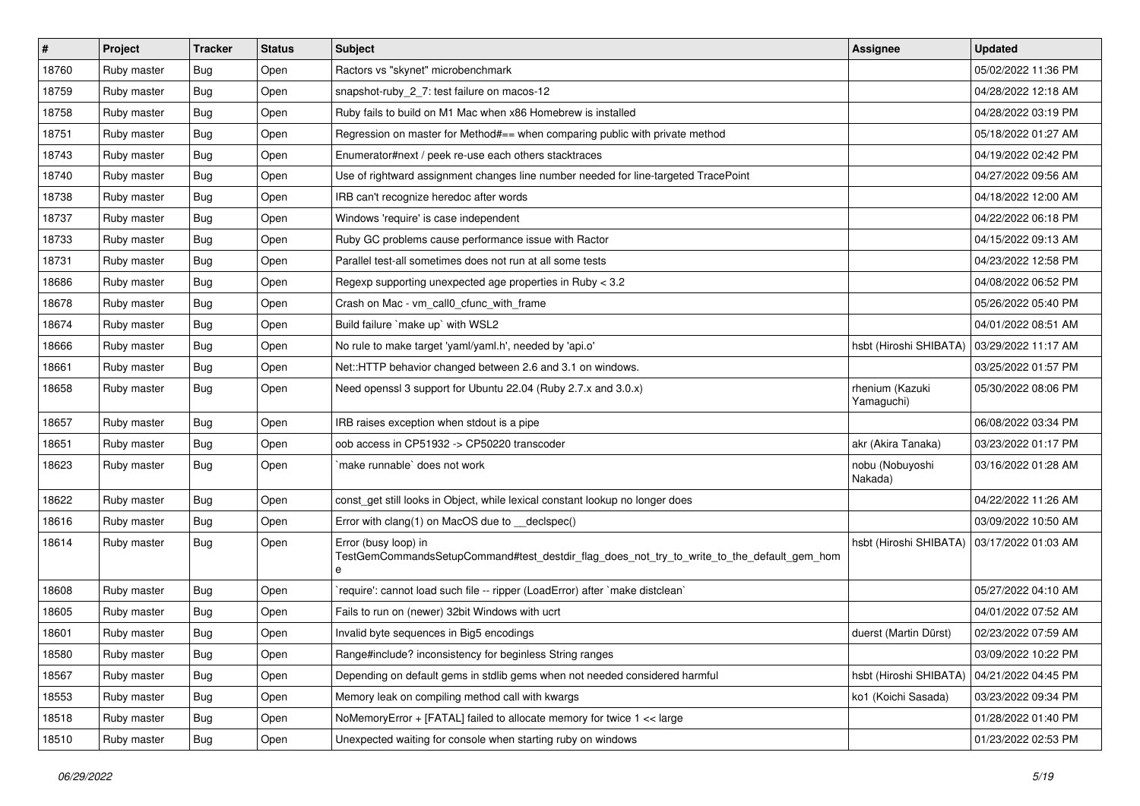| $\vert$ # | Project     | <b>Tracker</b> | <b>Status</b> | <b>Subject</b>                                                                                                          | Assignee                      | <b>Updated</b>      |
|-----------|-------------|----------------|---------------|-------------------------------------------------------------------------------------------------------------------------|-------------------------------|---------------------|
| 18760     | Ruby master | Bug            | Open          | Ractors vs "skynet" microbenchmark                                                                                      |                               | 05/02/2022 11:36 PM |
| 18759     | Ruby master | <b>Bug</b>     | Open          | snapshot-ruby 2 7: test failure on macos-12                                                                             |                               | 04/28/2022 12:18 AM |
| 18758     | Ruby master | <b>Bug</b>     | Open          | Ruby fails to build on M1 Mac when x86 Homebrew is installed                                                            |                               | 04/28/2022 03:19 PM |
| 18751     | Ruby master | <b>Bug</b>     | Open          | Regression on master for Method#== when comparing public with private method                                            |                               | 05/18/2022 01:27 AM |
| 18743     | Ruby master | <b>Bug</b>     | Open          | Enumerator#next / peek re-use each others stacktraces                                                                   |                               | 04/19/2022 02:42 PM |
| 18740     | Ruby master | <b>Bug</b>     | Open          | Use of rightward assignment changes line number needed for line-targeted TracePoint                                     |                               | 04/27/2022 09:56 AM |
| 18738     | Ruby master | <b>Bug</b>     | Open          | IRB can't recognize heredoc after words                                                                                 |                               | 04/18/2022 12:00 AM |
| 18737     | Ruby master | <b>Bug</b>     | Open          | Windows 'require' is case independent                                                                                   |                               | 04/22/2022 06:18 PM |
| 18733     | Ruby master | <b>Bug</b>     | Open          | Ruby GC problems cause performance issue with Ractor                                                                    |                               | 04/15/2022 09:13 AM |
| 18731     | Ruby master | <b>Bug</b>     | Open          | Parallel test-all sometimes does not run at all some tests                                                              |                               | 04/23/2022 12:58 PM |
| 18686     | Ruby master | <b>Bug</b>     | Open          | Regexp supporting unexpected age properties in Ruby < 3.2                                                               |                               | 04/08/2022 06:52 PM |
| 18678     | Ruby master | <b>Bug</b>     | Open          | Crash on Mac - vm_call0_cfunc_with_frame                                                                                |                               | 05/26/2022 05:40 PM |
| 18674     | Ruby master | <b>Bug</b>     | Open          | Build failure `make up` with WSL2                                                                                       |                               | 04/01/2022 08:51 AM |
| 18666     | Ruby master | <b>Bug</b>     | Open          | No rule to make target 'yaml/yaml.h', needed by 'api.o'                                                                 | hsbt (Hiroshi SHIBATA)        | 03/29/2022 11:17 AM |
| 18661     | Ruby master | <b>Bug</b>     | Open          | Net::HTTP behavior changed between 2.6 and 3.1 on windows.                                                              |                               | 03/25/2022 01:57 PM |
| 18658     | Ruby master | Bug            | Open          | Need openssl 3 support for Ubuntu 22.04 (Ruby 2.7.x and 3.0.x)                                                          | rhenium (Kazuki<br>Yamaguchi) | 05/30/2022 08:06 PM |
| 18657     | Ruby master | <b>Bug</b>     | Open          | IRB raises exception when stdout is a pipe                                                                              |                               | 06/08/2022 03:34 PM |
| 18651     | Ruby master | <b>Bug</b>     | Open          | oob access in CP51932 -> CP50220 transcoder                                                                             | akr (Akira Tanaka)            | 03/23/2022 01:17 PM |
| 18623     | Ruby master | <b>Bug</b>     | Open          | make runnable' does not work                                                                                            | nobu (Nobuyoshi<br>Nakada)    | 03/16/2022 01:28 AM |
| 18622     | Ruby master | <b>Bug</b>     | Open          | const_get still looks in Object, while lexical constant lookup no longer does                                           |                               | 04/22/2022 11:26 AM |
| 18616     | Ruby master | <b>Bug</b>     | Open          | Error with clang(1) on MacOS due to _declspec()                                                                         |                               | 03/09/2022 10:50 AM |
| 18614     | Ruby master | Bug            | Open          | Error (busy loop) in<br>TestGemCommandsSetupCommand#test_destdir_flag_does_not_try_to_write_to_the_default_gem_hom<br>e | hsbt (Hiroshi SHIBATA)        | 03/17/2022 01:03 AM |
| 18608     | Ruby master | <b>Bug</b>     | Open          | 'require': cannot load such file -- ripper (LoadError) after 'make distclean'                                           |                               | 05/27/2022 04:10 AM |
| 18605     | Ruby master | <b>Bug</b>     | Open          | Fails to run on (newer) 32bit Windows with ucrt                                                                         |                               | 04/01/2022 07:52 AM |
| 18601     | Ruby master | <b>Bug</b>     | Open          | Invalid byte sequences in Big5 encodings                                                                                | duerst (Martin Dürst)         | 02/23/2022 07:59 AM |
| 18580     | Ruby master | Bug            | Open          | Range#include? inconsistency for beginless String ranges                                                                |                               | 03/09/2022 10:22 PM |
| 18567     | Ruby master | <b>Bug</b>     | Open          | Depending on default gems in stdlib gems when not needed considered harmful                                             | hsbt (Hiroshi SHIBATA)        | 04/21/2022 04:45 PM |
| 18553     | Ruby master | <b>Bug</b>     | Open          | Memory leak on compiling method call with kwargs                                                                        | ko1 (Koichi Sasada)           | 03/23/2022 09:34 PM |
| 18518     | Ruby master | <b>Bug</b>     | Open          | NoMemoryError + [FATAL] failed to allocate memory for twice 1 << large                                                  |                               | 01/28/2022 01:40 PM |
| 18510     | Ruby master | <b>Bug</b>     | Open          | Unexpected waiting for console when starting ruby on windows                                                            |                               | 01/23/2022 02:53 PM |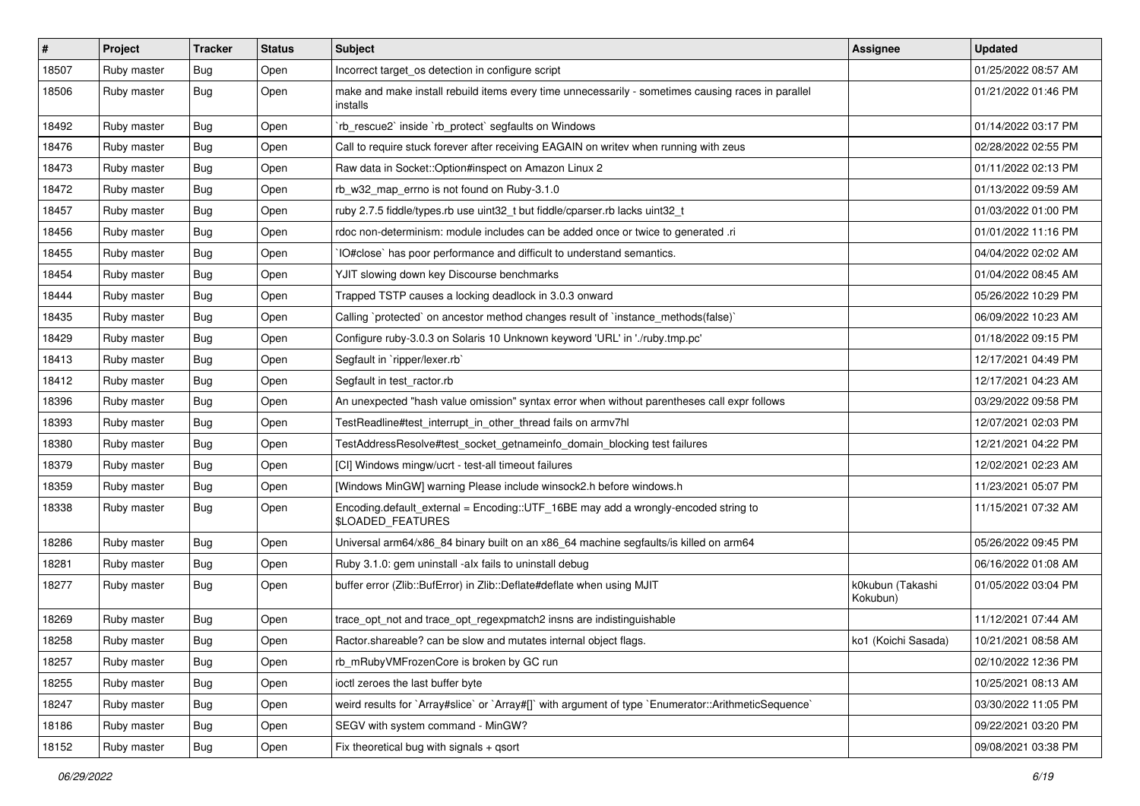| $\pmb{\#}$ | Project     | <b>Tracker</b> | <b>Status</b> | <b>Subject</b>                                                                                                 | <b>Assignee</b>              | <b>Updated</b>      |
|------------|-------------|----------------|---------------|----------------------------------------------------------------------------------------------------------------|------------------------------|---------------------|
| 18507      | Ruby master | Bug            | Open          | Incorrect target_os detection in configure script                                                              |                              | 01/25/2022 08:57 AM |
| 18506      | Ruby master | Bug            | Open          | make and make install rebuild items every time unnecessarily - sometimes causing races in parallel<br>installs |                              | 01/21/2022 01:46 PM |
| 18492      | Ruby master | Bug            | Open          | rb_rescue2` inside `rb_protect` segfaults on Windows                                                           |                              | 01/14/2022 03:17 PM |
| 18476      | Ruby master | Bug            | Open          | Call to require stuck forever after receiving EAGAIN on writev when running with zeus                          |                              | 02/28/2022 02:55 PM |
| 18473      | Ruby master | Bug            | Open          | Raw data in Socket:: Option#inspect on Amazon Linux 2                                                          |                              | 01/11/2022 02:13 PM |
| 18472      | Ruby master | Bug            | Open          | rb_w32_map_errno is not found on Ruby-3.1.0                                                                    |                              | 01/13/2022 09:59 AM |
| 18457      | Ruby master | Bug            | Open          | ruby 2.7.5 fiddle/types.rb use uint32_t but fiddle/cparser.rb lacks uint32_t                                   |                              | 01/03/2022 01:00 PM |
| 18456      | Ruby master | Bug            | Open          | rdoc non-determinism: module includes can be added once or twice to generated .ri                              |                              | 01/01/2022 11:16 PM |
| 18455      | Ruby master | Bug            | Open          | IO#close` has poor performance and difficult to understand semantics.                                          |                              | 04/04/2022 02:02 AM |
| 18454      | Ruby master | Bug            | Open          | YJIT slowing down key Discourse benchmarks                                                                     |                              | 01/04/2022 08:45 AM |
| 18444      | Ruby master | Bug            | Open          | Trapped TSTP causes a locking deadlock in 3.0.3 onward                                                         |                              | 05/26/2022 10:29 PM |
| 18435      | Ruby master | Bug            | Open          | Calling `protected` on ancestor method changes result of `instance_methods(false)`                             |                              | 06/09/2022 10:23 AM |
| 18429      | Ruby master | Bug            | Open          | Configure ruby-3.0.3 on Solaris 10 Unknown keyword 'URL' in './ruby.tmp.pc'                                    |                              | 01/18/2022 09:15 PM |
| 18413      | Ruby master | Bug            | Open          | Segfault in `ripper/lexer.rb`                                                                                  |                              | 12/17/2021 04:49 PM |
| 18412      | Ruby master | Bug            | Open          | Segfault in test ractor.rb                                                                                     |                              | 12/17/2021 04:23 AM |
| 18396      | Ruby master | Bug            | Open          | An unexpected "hash value omission" syntax error when without parentheses call expr follows                    |                              | 03/29/2022 09:58 PM |
| 18393      | Ruby master | Bug            | Open          | TestReadline#test_interrupt_in_other_thread fails on armv7hl                                                   |                              | 12/07/2021 02:03 PM |
| 18380      | Ruby master | Bug            | Open          | TestAddressResolve#test_socket_getnameinfo_domain_blocking test failures                                       |                              | 12/21/2021 04:22 PM |
| 18379      | Ruby master | Bug            | Open          | [CI] Windows mingw/ucrt - test-all timeout failures                                                            |                              | 12/02/2021 02:23 AM |
| 18359      | Ruby master | Bug            | Open          | [Windows MinGW] warning Please include winsock2.h before windows.h                                             |                              | 11/23/2021 05:07 PM |
| 18338      | Ruby master | Bug            | Open          | Encoding.default_external = Encoding::UTF_16BE may add a wrongly-encoded string to<br>\$LOADED_FEATURES        |                              | 11/15/2021 07:32 AM |
| 18286      | Ruby master | <b>Bug</b>     | Open          | Universal arm64/x86_84 binary built on an x86_64 machine segfaults/is killed on arm64                          |                              | 05/26/2022 09:45 PM |
| 18281      | Ruby master | Bug            | Open          | Ruby 3.1.0: gem uninstall -alx fails to uninstall debug                                                        |                              | 06/16/2022 01:08 AM |
| 18277      | Ruby master | Bug            | Open          | buffer error (Zlib::BufError) in Zlib::Deflate#deflate when using MJIT                                         | k0kubun (Takashi<br>Kokubun) | 01/05/2022 03:04 PM |
| 18269      | Ruby master | Bug            | Open          | trace_opt_not and trace_opt_regexpmatch2 insns are indistinguishable                                           |                              | 11/12/2021 07:44 AM |
| 18258      | Ruby master | Bug            | Open          | Ractor.shareable? can be slow and mutates internal object flags.                                               | ko1 (Koichi Sasada)          | 10/21/2021 08:58 AM |
| 18257      | Ruby master | Bug            | Open          | rb_mRubyVMFrozenCore is broken by GC run                                                                       |                              | 02/10/2022 12:36 PM |
| 18255      | Ruby master | <b>Bug</b>     | Open          | ioctl zeroes the last buffer byte                                                                              |                              | 10/25/2021 08:13 AM |
| 18247      | Ruby master | <b>Bug</b>     | Open          | weird results for `Array#slice` or `Array#[]` with argument of type `Enumerator::ArithmeticSequence`           |                              | 03/30/2022 11:05 PM |
| 18186      | Ruby master | <b>Bug</b>     | Open          | SEGV with system command - MinGW?                                                                              |                              | 09/22/2021 03:20 PM |
| 18152      | Ruby master | <b>Bug</b>     | Open          | Fix theoretical bug with signals $+$ qsort                                                                     |                              | 09/08/2021 03:38 PM |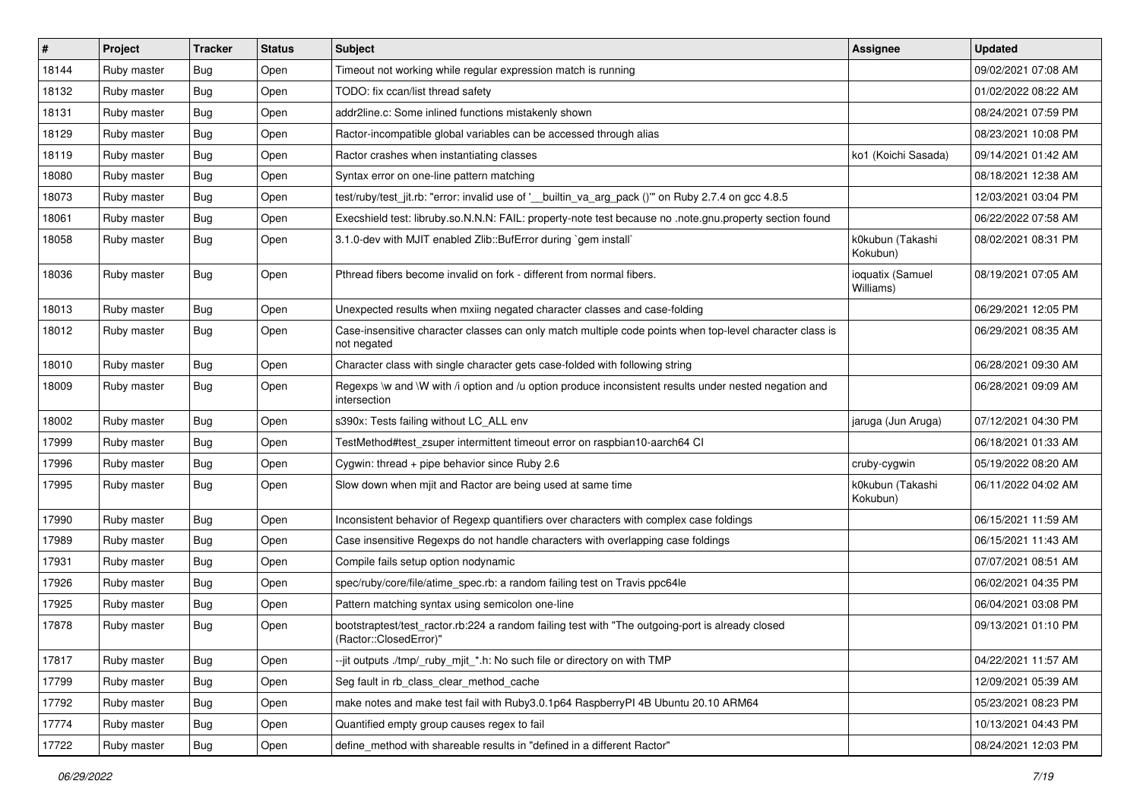| #     | Project     | <b>Tracker</b> | <b>Status</b> | <b>Subject</b>                                                                                                             | <b>Assignee</b>               | <b>Updated</b>      |
|-------|-------------|----------------|---------------|----------------------------------------------------------------------------------------------------------------------------|-------------------------------|---------------------|
| 18144 | Ruby master | Bug            | Open          | Timeout not working while regular expression match is running                                                              |                               | 09/02/2021 07:08 AM |
| 18132 | Ruby master | Bug            | Open          | TODO: fix ccan/list thread safety                                                                                          |                               | 01/02/2022 08:22 AM |
| 18131 | Ruby master | <b>Bug</b>     | Open          | addr2line.c: Some inlined functions mistakenly shown                                                                       |                               | 08/24/2021 07:59 PM |
| 18129 | Ruby master | <b>Bug</b>     | Open          | Ractor-incompatible global variables can be accessed through alias                                                         |                               | 08/23/2021 10:08 PM |
| 18119 | Ruby master | <b>Bug</b>     | Open          | Ractor crashes when instantiating classes                                                                                  | ko1 (Koichi Sasada)           | 09/14/2021 01:42 AM |
| 18080 | Ruby master | <b>Bug</b>     | Open          | Syntax error on one-line pattern matching                                                                                  |                               | 08/18/2021 12:38 AM |
| 18073 | Ruby master | Bug            | Open          | test/ruby/test_jit.rb: "error: invalid use of '__builtin_va_arg_pack ()" on Ruby 2.7.4 on gcc 4.8.5                        |                               | 12/03/2021 03:04 PM |
| 18061 | Ruby master | <b>Bug</b>     | Open          | Execshield test: libruby.so.N.N.N: FAIL: property-note test because no .note.gnu.property section found                    |                               | 06/22/2022 07:58 AM |
| 18058 | Ruby master | <b>Bug</b>     | Open          | 3.1.0-dev with MJIT enabled Zlib::BufError during `gem install`                                                            | k0kubun (Takashi<br>Kokubun)  | 08/02/2021 08:31 PM |
| 18036 | Ruby master | Bug            | Open          | Pthread fibers become invalid on fork - different from normal fibers.                                                      | ioquatix (Samuel<br>Williams) | 08/19/2021 07:05 AM |
| 18013 | Ruby master | Bug            | Open          | Unexpected results when mxiing negated character classes and case-folding                                                  |                               | 06/29/2021 12:05 PM |
| 18012 | Ruby master | Bug            | Open          | Case-insensitive character classes can only match multiple code points when top-level character class is<br>not negated    |                               | 06/29/2021 08:35 AM |
| 18010 | Ruby master | Bug            | Open          | Character class with single character gets case-folded with following string                                               |                               | 06/28/2021 09:30 AM |
| 18009 | Ruby master | Bug            | Open          | Regexps \w and \W with /i option and /u option produce inconsistent results under nested negation and<br>intersection      |                               | 06/28/2021 09:09 AM |
| 18002 | Ruby master | Bug            | Open          | s390x: Tests failing without LC_ALL env                                                                                    | jaruga (Jun Aruga)            | 07/12/2021 04:30 PM |
| 17999 | Ruby master | <b>Bug</b>     | Open          | TestMethod#test_zsuper intermittent timeout error on raspbian10-aarch64 CI                                                 |                               | 06/18/2021 01:33 AM |
| 17996 | Ruby master | <b>Bug</b>     | Open          | Cygwin: thread + pipe behavior since Ruby 2.6                                                                              | cruby-cygwin                  | 05/19/2022 08:20 AM |
| 17995 | Ruby master | Bug            | Open          | Slow down when milt and Ractor are being used at same time                                                                 | k0kubun (Takashi<br>Kokubun)  | 06/11/2022 04:02 AM |
| 17990 | Ruby master | Bug            | Open          | Inconsistent behavior of Regexp quantifiers over characters with complex case foldings                                     |                               | 06/15/2021 11:59 AM |
| 17989 | Ruby master | Bug            | Open          | Case insensitive Regexps do not handle characters with overlapping case foldings                                           |                               | 06/15/2021 11:43 AM |
| 17931 | Ruby master | Bug            | Open          | Compile fails setup option nodynamic                                                                                       |                               | 07/07/2021 08:51 AM |
| 17926 | Ruby master | <b>Bug</b>     | Open          | spec/ruby/core/file/atime_spec.rb: a random failing test on Travis ppc64le                                                 |                               | 06/02/2021 04:35 PM |
| 17925 | Ruby master | <b>Bug</b>     | Open          | Pattern matching syntax using semicolon one-line                                                                           |                               | 06/04/2021 03:08 PM |
| 17878 | Ruby master | Bug            | Open          | bootstraptest/test_ractor.rb:224 a random failing test with "The outgoing-port is already closed<br>(Ractor::ClosedError)" |                               | 09/13/2021 01:10 PM |
| 17817 | Ruby master | Bug            | Open          | --jit outputs ./tmp/_ruby_mjit_*.h: No such file or directory on with TMP                                                  |                               | 04/22/2021 11:57 AM |
| 17799 | Ruby master | <b>Bug</b>     | Open          | Seg fault in rb class clear method cache                                                                                   |                               | 12/09/2021 05:39 AM |
| 17792 | Ruby master | <b>Bug</b>     | Open          | make notes and make test fail with Ruby3.0.1p64 RaspberryPI 4B Ubuntu 20.10 ARM64                                          |                               | 05/23/2021 08:23 PM |
| 17774 | Ruby master | <b>Bug</b>     | Open          | Quantified empty group causes regex to fail                                                                                |                               | 10/13/2021 04:43 PM |
| 17722 | Ruby master | Bug            | Open          | define_method with shareable results in "defined in a different Ractor"                                                    |                               | 08/24/2021 12:03 PM |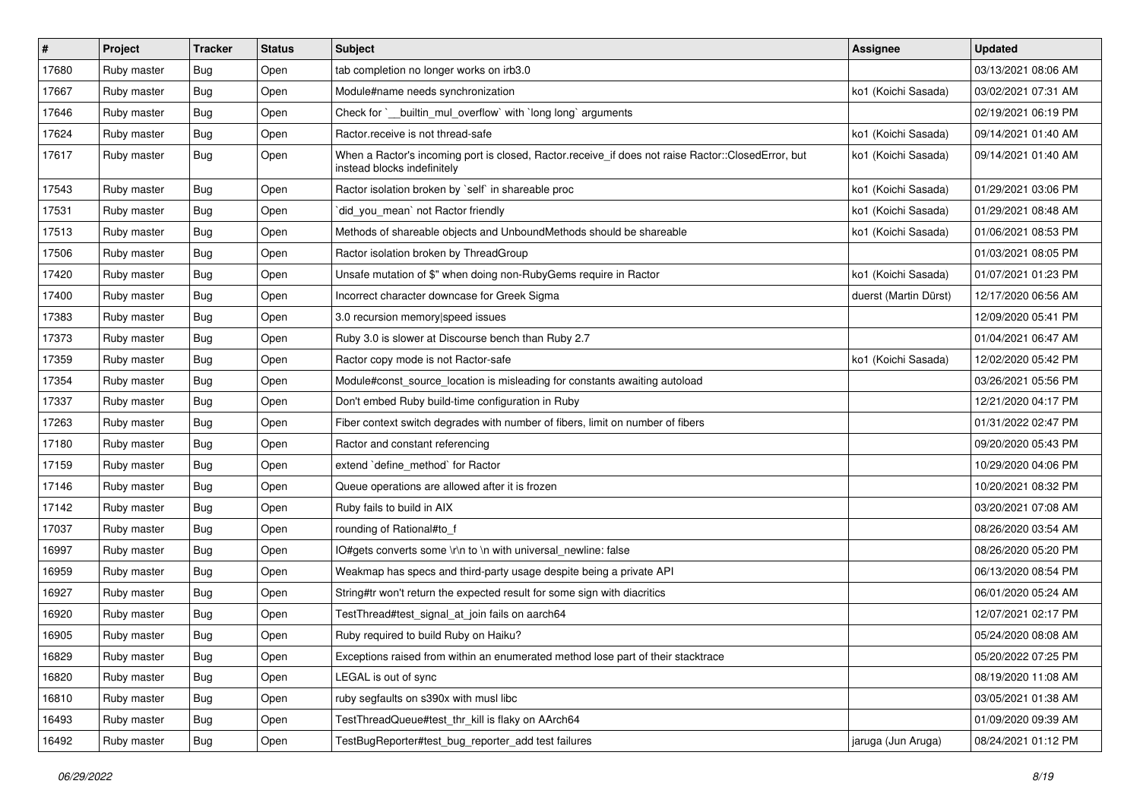| $\vert$ # | <b>Project</b> | <b>Tracker</b> | <b>Status</b> | <b>Subject</b>                                                                                                                    | Assignee              | <b>Updated</b>      |
|-----------|----------------|----------------|---------------|-----------------------------------------------------------------------------------------------------------------------------------|-----------------------|---------------------|
| 17680     | Ruby master    | Bug            | Open          | tab completion no longer works on irb3.0                                                                                          |                       | 03/13/2021 08:06 AM |
| 17667     | Ruby master    | Bug            | Open          | Module#name needs synchronization                                                                                                 | ko1 (Koichi Sasada)   | 03/02/2021 07:31 AM |
| 17646     | Ruby master    | <b>Bug</b>     | Open          | Check for `__builtin_mul_overflow` with `long long` arguments                                                                     |                       | 02/19/2021 06:19 PM |
| 17624     | Ruby master    | <b>Bug</b>     | Open          | Ractor.receive is not thread-safe                                                                                                 | ko1 (Koichi Sasada)   | 09/14/2021 01:40 AM |
| 17617     | Ruby master    | Bug            | Open          | When a Ractor's incoming port is closed, Ractor.receive_if does not raise Ractor::ClosedError, but<br>instead blocks indefinitely | ko1 (Koichi Sasada)   | 09/14/2021 01:40 AM |
| 17543     | Ruby master    | Bug            | Open          | Ractor isolation broken by `self` in shareable proc                                                                               | ko1 (Koichi Sasada)   | 01/29/2021 03:06 PM |
| 17531     | Ruby master    | Bug            | Open          | did_you_mean' not Ractor friendly                                                                                                 | ko1 (Koichi Sasada)   | 01/29/2021 08:48 AM |
| 17513     | Ruby master    | Bug            | Open          | Methods of shareable objects and UnboundMethods should be shareable                                                               | ko1 (Koichi Sasada)   | 01/06/2021 08:53 PM |
| 17506     | Ruby master    | Bug            | Open          | Ractor isolation broken by ThreadGroup                                                                                            |                       | 01/03/2021 08:05 PM |
| 17420     | Ruby master    | Bug            | Open          | Unsafe mutation of \$" when doing non-RubyGems require in Ractor                                                                  | ko1 (Koichi Sasada)   | 01/07/2021 01:23 PM |
| 17400     | Ruby master    | Bug            | Open          | Incorrect character downcase for Greek Sigma                                                                                      | duerst (Martin Dürst) | 12/17/2020 06:56 AM |
| 17383     | Ruby master    | Bug            | Open          | 3.0 recursion memory speed issues                                                                                                 |                       | 12/09/2020 05:41 PM |
| 17373     | Ruby master    | Bug            | Open          | Ruby 3.0 is slower at Discourse bench than Ruby 2.7                                                                               |                       | 01/04/2021 06:47 AM |
| 17359     | Ruby master    | Bug            | Open          | Ractor copy mode is not Ractor-safe                                                                                               | ko1 (Koichi Sasada)   | 12/02/2020 05:42 PM |
| 17354     | Ruby master    | <b>Bug</b>     | Open          | Module#const_source_location is misleading for constants awaiting autoload                                                        |                       | 03/26/2021 05:56 PM |
| 17337     | Ruby master    | Bug            | Open          | Don't embed Ruby build-time configuration in Ruby                                                                                 |                       | 12/21/2020 04:17 PM |
| 17263     | Ruby master    | Bug            | Open          | Fiber context switch degrades with number of fibers, limit on number of fibers                                                    |                       | 01/31/2022 02:47 PM |
| 17180     | Ruby master    | Bug            | Open          | Ractor and constant referencing                                                                                                   |                       | 09/20/2020 05:43 PM |
| 17159     | Ruby master    | Bug            | Open          | extend 'define_method' for Ractor                                                                                                 |                       | 10/29/2020 04:06 PM |
| 17146     | Ruby master    | Bug            | Open          | Queue operations are allowed after it is frozen                                                                                   |                       | 10/20/2021 08:32 PM |
| 17142     | Ruby master    | <b>Bug</b>     | Open          | Ruby fails to build in AIX                                                                                                        |                       | 03/20/2021 07:08 AM |
| 17037     | Ruby master    | Bug            | Open          | rounding of Rational#to_f                                                                                                         |                       | 08/26/2020 03:54 AM |
| 16997     | Ruby master    | <b>Bug</b>     | Open          | IO#gets converts some \r\n to \n with universal newline: false                                                                    |                       | 08/26/2020 05:20 PM |
| 16959     | Ruby master    | Bug            | Open          | Weakmap has specs and third-party usage despite being a private API                                                               |                       | 06/13/2020 08:54 PM |
| 16927     | Ruby master    | Bug            | Open          | String#tr won't return the expected result for some sign with diacritics                                                          |                       | 06/01/2020 05:24 AM |
| 16920     | Ruby master    | Bug            | Open          | TestThread#test_signal_at_join fails on aarch64                                                                                   |                       | 12/07/2021 02:17 PM |
| 16905     | Ruby master    | <b>Bug</b>     | Open          | Ruby required to build Ruby on Haiku?                                                                                             |                       | 05/24/2020 08:08 AM |
| 16829     | Ruby master    | <b>Bug</b>     | Open          | Exceptions raised from within an enumerated method lose part of their stacktrace                                                  |                       | 05/20/2022 07:25 PM |
| 16820     | Ruby master    | <b>Bug</b>     | Open          | LEGAL is out of sync                                                                                                              |                       | 08/19/2020 11:08 AM |
| 16810     | Ruby master    | <b>Bug</b>     | Open          | ruby segfaults on s390x with musl libc                                                                                            |                       | 03/05/2021 01:38 AM |
| 16493     | Ruby master    | <b>Bug</b>     | Open          | TestThreadQueue#test thr kill is flaky on AArch64                                                                                 |                       | 01/09/2020 09:39 AM |
| 16492     | Ruby master    | <b>Bug</b>     | Open          | TestBugReporter#test_bug_reporter_add test failures                                                                               | jaruga (Jun Aruga)    | 08/24/2021 01:12 PM |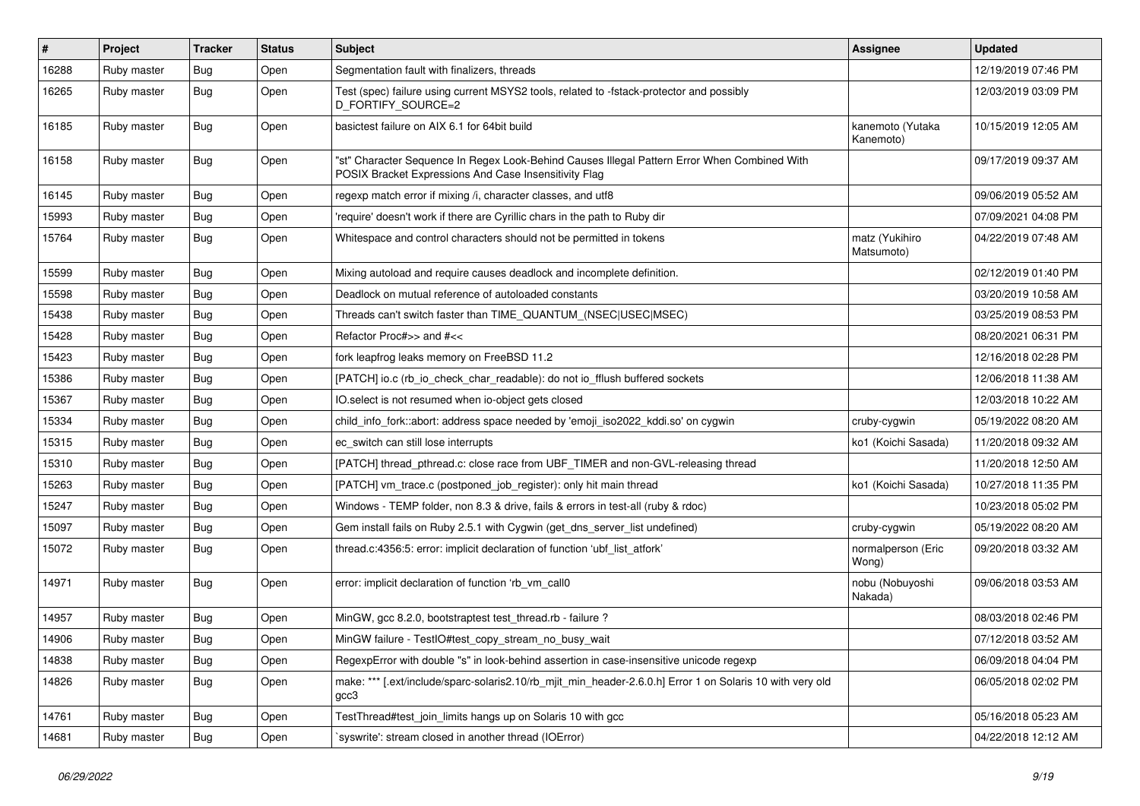| #     | Project     | <b>Tracker</b> | <b>Status</b> | <b>Subject</b>                                                                                                                                        | Assignee                      | <b>Updated</b>      |
|-------|-------------|----------------|---------------|-------------------------------------------------------------------------------------------------------------------------------------------------------|-------------------------------|---------------------|
| 16288 | Ruby master | <b>Bug</b>     | Open          | Segmentation fault with finalizers, threads                                                                                                           |                               | 12/19/2019 07:46 PM |
| 16265 | Ruby master | Bug            | Open          | Test (spec) failure using current MSYS2 tools, related to -fstack-protector and possibly<br>D_FORTIFY_SOURCE=2                                        |                               | 12/03/2019 03:09 PM |
| 16185 | Ruby master | Bug            | Open          | basictest failure on AIX 6.1 for 64bit build                                                                                                          | kanemoto (Yutaka<br>Kanemoto) | 10/15/2019 12:05 AM |
| 16158 | Ruby master | Bug            | Open          | "st" Character Sequence In Regex Look-Behind Causes Illegal Pattern Error When Combined With<br>POSIX Bracket Expressions And Case Insensitivity Flag |                               | 09/17/2019 09:37 AM |
| 16145 | Ruby master | Bug            | Open          | regexp match error if mixing /i, character classes, and utf8                                                                                          |                               | 09/06/2019 05:52 AM |
| 15993 | Ruby master | Bug            | Open          | 'require' doesn't work if there are Cyrillic chars in the path to Ruby dir                                                                            |                               | 07/09/2021 04:08 PM |
| 15764 | Ruby master | <b>Bug</b>     | Open          | Whitespace and control characters should not be permitted in tokens                                                                                   | matz (Yukihiro<br>Matsumoto)  | 04/22/2019 07:48 AM |
| 15599 | Ruby master | <b>Bug</b>     | Open          | Mixing autoload and require causes deadlock and incomplete definition.                                                                                |                               | 02/12/2019 01:40 PM |
| 15598 | Ruby master | Bug            | Open          | Deadlock on mutual reference of autoloaded constants                                                                                                  |                               | 03/20/2019 10:58 AM |
| 15438 | Ruby master | <b>Bug</b>     | Open          | Threads can't switch faster than TIME_QUANTUM_(NSEC USEC MSEC)                                                                                        |                               | 03/25/2019 08:53 PM |
| 15428 | Ruby master | <b>Bug</b>     | Open          | Refactor Proc#>> and #<<                                                                                                                              |                               | 08/20/2021 06:31 PM |
| 15423 | Ruby master | Bug            | Open          | fork leapfrog leaks memory on FreeBSD 11.2                                                                                                            |                               | 12/16/2018 02:28 PM |
| 15386 | Ruby master | <b>Bug</b>     | Open          | [PATCH] io.c (rb_io_check_char_readable): do not io_fflush buffered sockets                                                                           |                               | 12/06/2018 11:38 AM |
| 15367 | Ruby master | Bug            | Open          | IO.select is not resumed when io-object gets closed                                                                                                   |                               | 12/03/2018 10:22 AM |
| 15334 | Ruby master | <b>Bug</b>     | Open          | child_info_fork::abort: address space needed by 'emoji_iso2022_kddi.so' on cygwin                                                                     | cruby-cygwin                  | 05/19/2022 08:20 AM |
| 15315 | Ruby master | <b>Bug</b>     | Open          | ec switch can still lose interrupts                                                                                                                   | ko1 (Koichi Sasada)           | 11/20/2018 09:32 AM |
| 15310 | Ruby master | Bug            | Open          | [PATCH] thread_pthread.c: close race from UBF_TIMER and non-GVL-releasing thread                                                                      |                               | 11/20/2018 12:50 AM |
| 15263 | Ruby master | <b>Bug</b>     | Open          | [PATCH] vm_trace.c (postponed_job_register): only hit main thread                                                                                     | ko1 (Koichi Sasada)           | 10/27/2018 11:35 PM |
| 15247 | Ruby master | Bug            | Open          | Windows - TEMP folder, non 8.3 & drive, fails & errors in test-all (ruby & rdoc)                                                                      |                               | 10/23/2018 05:02 PM |
| 15097 | Ruby master | <b>Bug</b>     | Open          | Gem install fails on Ruby 2.5.1 with Cygwin (get_dns_server_list undefined)                                                                           | cruby-cygwin                  | 05/19/2022 08:20 AM |
| 15072 | Ruby master | <b>Bug</b>     | Open          | thread.c:4356:5: error: implicit declaration of function 'ubf_list_atfork'                                                                            | normalperson (Eric<br>Wong)   | 09/20/2018 03:32 AM |
| 14971 | Ruby master | Bug            | Open          | error: implicit declaration of function 'rb_vm_call0                                                                                                  | nobu (Nobuyoshi<br>Nakada)    | 09/06/2018 03:53 AM |
| 14957 | Ruby master | Bug            | Open          | MinGW, gcc 8.2.0, bootstraptest test_thread.rb - failure ?                                                                                            |                               | 08/03/2018 02:46 PM |
| 14906 | Ruby master | Bug            | Open          | MinGW failure - TestIO#test copy stream no busy wait                                                                                                  |                               | 07/12/2018 03:52 AM |
| 14838 | Ruby master | Bug            | Open          | RegexpError with double "s" in look-behind assertion in case-insensitive unicode regexp                                                               |                               | 06/09/2018 04:04 PM |
| 14826 | Ruby master | Bug            | Open          | make: *** [.ext/include/sparc-solaris2.10/rb_mjit_min_header-2.6.0.h] Error 1 on Solaris 10 with very old<br>gcc3                                     |                               | 06/05/2018 02:02 PM |
| 14761 | Ruby master | <b>Bug</b>     | Open          | TestThread#test_join_limits hangs up on Solaris 10 with gcc                                                                                           |                               | 05/16/2018 05:23 AM |
| 14681 | Ruby master | <b>Bug</b>     | Open          | syswrite': stream closed in another thread (IOError)                                                                                                  |                               | 04/22/2018 12:12 AM |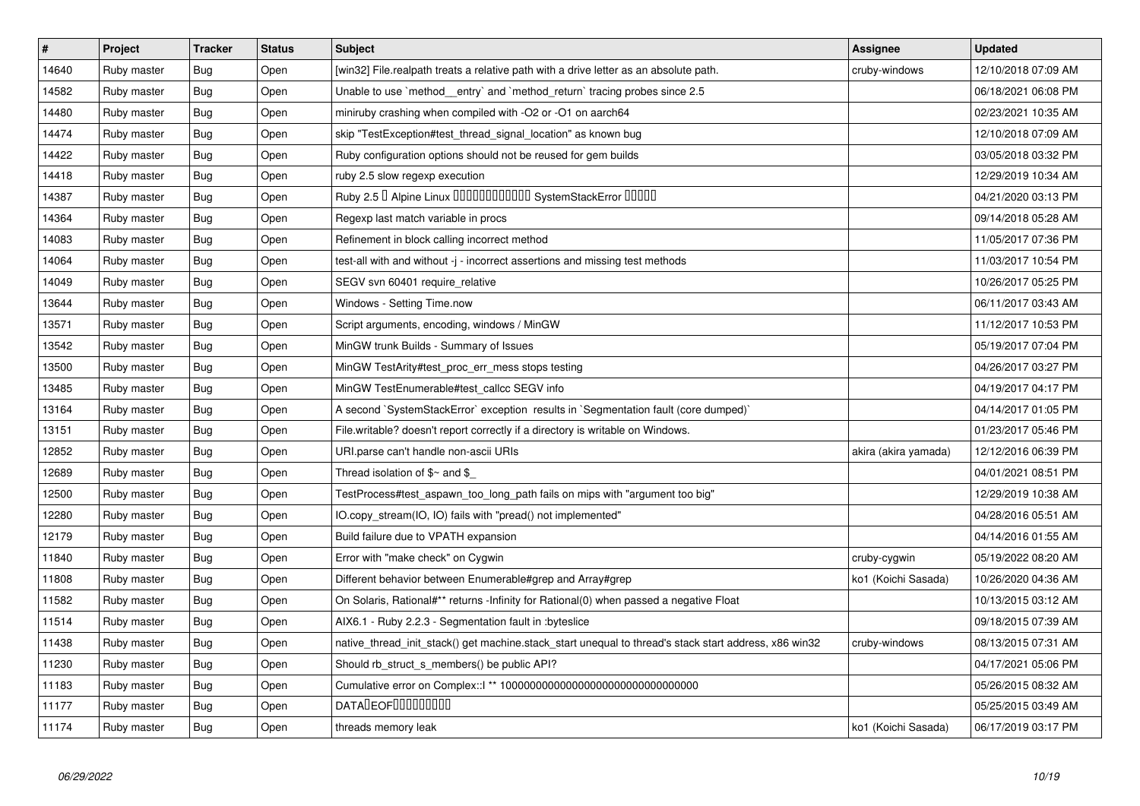| $\vert$ # | Project     | <b>Tracker</b> | <b>Status</b> | <b>Subject</b>                                                                                        | Assignee             | <b>Updated</b>      |
|-----------|-------------|----------------|---------------|-------------------------------------------------------------------------------------------------------|----------------------|---------------------|
| 14640     | Ruby master | <b>Bug</b>     | Open          | [win32] File.realpath treats a relative path with a drive letter as an absolute path.                 | cruby-windows        | 12/10/2018 07:09 AM |
| 14582     | Ruby master | <b>Bug</b>     | Open          | Unable to use `method_entry` and `method_return` tracing probes since 2.5                             |                      | 06/18/2021 06:08 PM |
| 14480     | Ruby master | Bug            | Open          | miniruby crashing when compiled with -O2 or -O1 on aarch64                                            |                      | 02/23/2021 10:35 AM |
| 14474     | Ruby master | <b>Bug</b>     | Open          | skip "TestException#test_thread_signal_location" as known bug                                         |                      | 12/10/2018 07:09 AM |
| 14422     | Ruby master | Bug            | Open          | Ruby configuration options should not be reused for gem builds                                        |                      | 03/05/2018 03:32 PM |
| 14418     | Ruby master | <b>Bug</b>     | Open          | ruby 2.5 slow regexp execution                                                                        |                      | 12/29/2019 10:34 AM |
| 14387     | Ruby master | <b>Bug</b>     | Open          | Ruby 2.5 <sup>D</sup> Alpine Linux 000000000000 SystemStackError 00000                                |                      | 04/21/2020 03:13 PM |
| 14364     | Ruby master | <b>Bug</b>     | Open          | Regexp last match variable in procs                                                                   |                      | 09/14/2018 05:28 AM |
| 14083     | Ruby master | Bug            | Open          | Refinement in block calling incorrect method                                                          |                      | 11/05/2017 07:36 PM |
| 14064     | Ruby master | <b>Bug</b>     | Open          | test-all with and without -j - incorrect assertions and missing test methods                          |                      | 11/03/2017 10:54 PM |
| 14049     | Ruby master | <b>Bug</b>     | Open          | SEGV svn 60401 require_relative                                                                       |                      | 10/26/2017 05:25 PM |
| 13644     | Ruby master | Bug            | Open          | Windows - Setting Time.now                                                                            |                      | 06/11/2017 03:43 AM |
| 13571     | Ruby master | <b>Bug</b>     | Open          | Script arguments, encoding, windows / MinGW                                                           |                      | 11/12/2017 10:53 PM |
| 13542     | Ruby master | <b>Bug</b>     | Open          | MinGW trunk Builds - Summary of Issues                                                                |                      | 05/19/2017 07:04 PM |
| 13500     | Ruby master | Bug            | Open          | MinGW TestArity#test_proc_err_mess stops testing                                                      |                      | 04/26/2017 03:27 PM |
| 13485     | Ruby master | <b>Bug</b>     | Open          | MinGW TestEnumerable#test_callcc SEGV info                                                            |                      | 04/19/2017 04:17 PM |
| 13164     | Ruby master | Bug            | Open          | A second `SystemStackError` exception results in `Segmentation fault (core dumped)`                   |                      | 04/14/2017 01:05 PM |
| 13151     | Ruby master | <b>Bug</b>     | Open          | File.writable? doesn't report correctly if a directory is writable on Windows.                        |                      | 01/23/2017 05:46 PM |
| 12852     | Ruby master | <b>Bug</b>     | Open          | URI.parse can't handle non-ascii URIs                                                                 | akira (akira yamada) | 12/12/2016 06:39 PM |
| 12689     | Ruby master | Bug            | Open          | Thread isolation of $$~$ and \$                                                                       |                      | 04/01/2021 08:51 PM |
| 12500     | Ruby master | <b>Bug</b>     | Open          | TestProcess#test_aspawn_too_long_path fails on mips with "argument too big"                           |                      | 12/29/2019 10:38 AM |
| 12280     | Ruby master | Bug            | Open          | IO.copy_stream(IO, IO) fails with "pread() not implemented"                                           |                      | 04/28/2016 05:51 AM |
| 12179     | Ruby master | <b>Bug</b>     | Open          | Build failure due to VPATH expansion                                                                  |                      | 04/14/2016 01:55 AM |
| 11840     | Ruby master | <b>Bug</b>     | Open          | Error with "make check" on Cygwin                                                                     | cruby-cygwin         | 05/19/2022 08:20 AM |
| 11808     | Ruby master | <b>Bug</b>     | Open          | Different behavior between Enumerable#grep and Array#grep                                             | ko1 (Koichi Sasada)  | 10/26/2020 04:36 AM |
| 11582     | Ruby master | <b>Bug</b>     | Open          | On Solaris, Rational#** returns -Infinity for Rational(0) when passed a negative Float                |                      | 10/13/2015 03:12 AM |
| 11514     | Ruby master | Bug            | Open          | AIX6.1 - Ruby 2.2.3 - Segmentation fault in : byteslice                                               |                      | 09/18/2015 07:39 AM |
| 11438     | Ruby master | Bug            | Open          | native_thread_init_stack() get machine.stack_start unequal to thread's stack start address, x86 win32 | cruby-windows        | 08/13/2015 07:31 AM |
| 11230     | Ruby master | <b>Bug</b>     | Open          | Should rb struct s members() be public API?                                                           |                      | 04/17/2021 05:06 PM |
| 11183     | Ruby master | <b>Bug</b>     | Open          |                                                                                                       |                      | 05/26/2015 08:32 AM |
| 11177     | Ruby master | <b>Bug</b>     | Open          | <b>DATALEOFILILILILILI</b>                                                                            |                      | 05/25/2015 03:49 AM |
| 11174     | Ruby master | <b>Bug</b>     | Open          | threads memory leak                                                                                   | ko1 (Koichi Sasada)  | 06/17/2019 03:17 PM |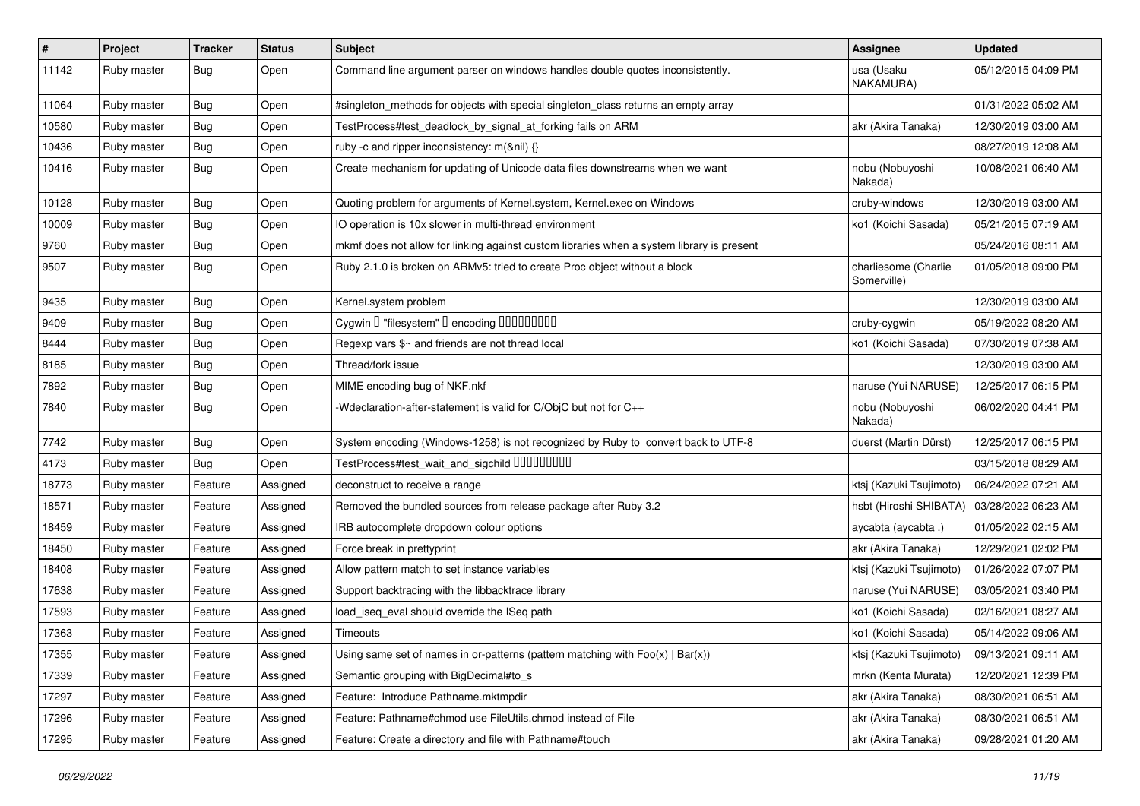| $\sharp$ | Project     | <b>Tracker</b> | <b>Status</b> | Subject                                                                                   | <b>Assignee</b>                     | <b>Updated</b>      |
|----------|-------------|----------------|---------------|-------------------------------------------------------------------------------------------|-------------------------------------|---------------------|
| 11142    | Ruby master | <b>Bug</b>     | Open          | Command line argument parser on windows handles double quotes inconsistently.             | usa (Usaku<br>NAKAMURA)             | 05/12/2015 04:09 PM |
| 11064    | Ruby master | <b>Bug</b>     | Open          | #singleton methods for objects with special singleton class returns an empty array        |                                     | 01/31/2022 05:02 AM |
| 10580    | Ruby master | <b>Bug</b>     | Open          | TestProcess#test_deadlock_by_signal_at_forking fails on ARM                               | akr (Akira Tanaka)                  | 12/30/2019 03:00 AM |
| 10436    | Ruby master | <b>Bug</b>     | Open          | ruby -c and ripper inconsistency: m(&nil) {}                                              |                                     | 08/27/2019 12:08 AM |
| 10416    | Ruby master | <b>Bug</b>     | Open          | Create mechanism for updating of Unicode data files downstreams when we want              | nobu (Nobuyoshi<br>Nakada)          | 10/08/2021 06:40 AM |
| 10128    | Ruby master | <b>Bug</b>     | Open          | Quoting problem for arguments of Kernel.system, Kernel.exec on Windows                    | cruby-windows                       | 12/30/2019 03:00 AM |
| 10009    | Ruby master | <b>Bug</b>     | Open          | IO operation is 10x slower in multi-thread environment                                    | ko1 (Koichi Sasada)                 | 05/21/2015 07:19 AM |
| 9760     | Ruby master | <b>Bug</b>     | Open          | mkmf does not allow for linking against custom libraries when a system library is present |                                     | 05/24/2016 08:11 AM |
| 9507     | Ruby master | <b>Bug</b>     | Open          | Ruby 2.1.0 is broken on ARMv5: tried to create Proc object without a block                | charliesome (Charlie<br>Somerville) | 01/05/2018 09:00 PM |
| 9435     | Ruby master | <b>Bug</b>     | Open          | Kernel.system problem                                                                     |                                     | 12/30/2019 03:00 AM |
| 9409     | Ruby master | Bug            | Open          | Cygwin I "filesystem" I encoding IIIIIIIIIIIII                                            | cruby-cygwin                        | 05/19/2022 08:20 AM |
| 8444     | Ruby master | <b>Bug</b>     | Open          | Regexp vars \$~ and friends are not thread local                                          | ko1 (Koichi Sasada)                 | 07/30/2019 07:38 AM |
| 8185     | Ruby master | Bug            | Open          | Thread/fork issue                                                                         |                                     | 12/30/2019 03:00 AM |
| 7892     | Ruby master | <b>Bug</b>     | Open          | MIME encoding bug of NKF.nkf                                                              | naruse (Yui NARUSE)                 | 12/25/2017 06:15 PM |
| 7840     | Ruby master | <b>Bug</b>     | Open          | Wdeclaration-after-statement is valid for C/ObjC but not for C++                          | nobu (Nobuyoshi<br>Nakada)          | 06/02/2020 04:41 PM |
| 7742     | Ruby master | <b>Bug</b>     | Open          | System encoding (Windows-1258) is not recognized by Ruby to convert back to UTF-8         | duerst (Martin Dürst)               | 12/25/2017 06:15 PM |
| 4173     | Ruby master | Bug            | Open          | TestProcess#test_wait_and_sigchild DDDDDDDD                                               |                                     | 03/15/2018 08:29 AM |
| 18773    | Ruby master | Feature        | Assigned      | deconstruct to receive a range                                                            | ktsj (Kazuki Tsujimoto)             | 06/24/2022 07:21 AM |
| 18571    | Ruby master | Feature        | Assigned      | Removed the bundled sources from release package after Ruby 3.2                           | hsbt (Hiroshi SHIBATA)              | 03/28/2022 06:23 AM |
| 18459    | Ruby master | Feature        | Assigned      | IRB autocomplete dropdown colour options                                                  | aycabta (aycabta.)                  | 01/05/2022 02:15 AM |
| 18450    | Ruby master | Feature        | Assigned      | Force break in prettyprint                                                                | akr (Akira Tanaka)                  | 12/29/2021 02:02 PM |
| 18408    | Ruby master | Feature        | Assigned      | Allow pattern match to set instance variables                                             | ktsj (Kazuki Tsujimoto)             | 01/26/2022 07:07 PM |
| 17638    | Ruby master | Feature        | Assigned      | Support backtracing with the libbacktrace library                                         | naruse (Yui NARUSE)                 | 03/05/2021 03:40 PM |
| 17593    | Ruby master | Feature        | Assigned      | load_iseq_eval should override the ISeq path                                              | ko1 (Koichi Sasada)                 | 02/16/2021 08:27 AM |
| 17363    | Ruby master | Feature        | Assigned      | <b>Timeouts</b>                                                                           | ko1 (Koichi Sasada)                 | 05/14/2022 09:06 AM |
| 17355    | Ruby master | Feature        | Assigned      | Using same set of names in or-patterns (pattern matching with $Foo(x)   Bar(x)$ )         | ktsj (Kazuki Tsujimoto)             | 09/13/2021 09:11 AM |
| 17339    | Ruby master | Feature        | Assigned      | Semantic grouping with BigDecimal#to_s                                                    | mrkn (Kenta Murata)                 | 12/20/2021 12:39 PM |
| 17297    | Ruby master | Feature        | Assigned      | Feature: Introduce Pathname.mktmpdir                                                      | akr (Akira Tanaka)                  | 08/30/2021 06:51 AM |
| 17296    | Ruby master | Feature        | Assigned      | Feature: Pathname#chmod use FileUtils.chmod instead of File                               | akr (Akira Tanaka)                  | 08/30/2021 06:51 AM |
| 17295    | Ruby master | Feature        | Assigned      | Feature: Create a directory and file with Pathname#touch                                  | akr (Akira Tanaka)                  | 09/28/2021 01:20 AM |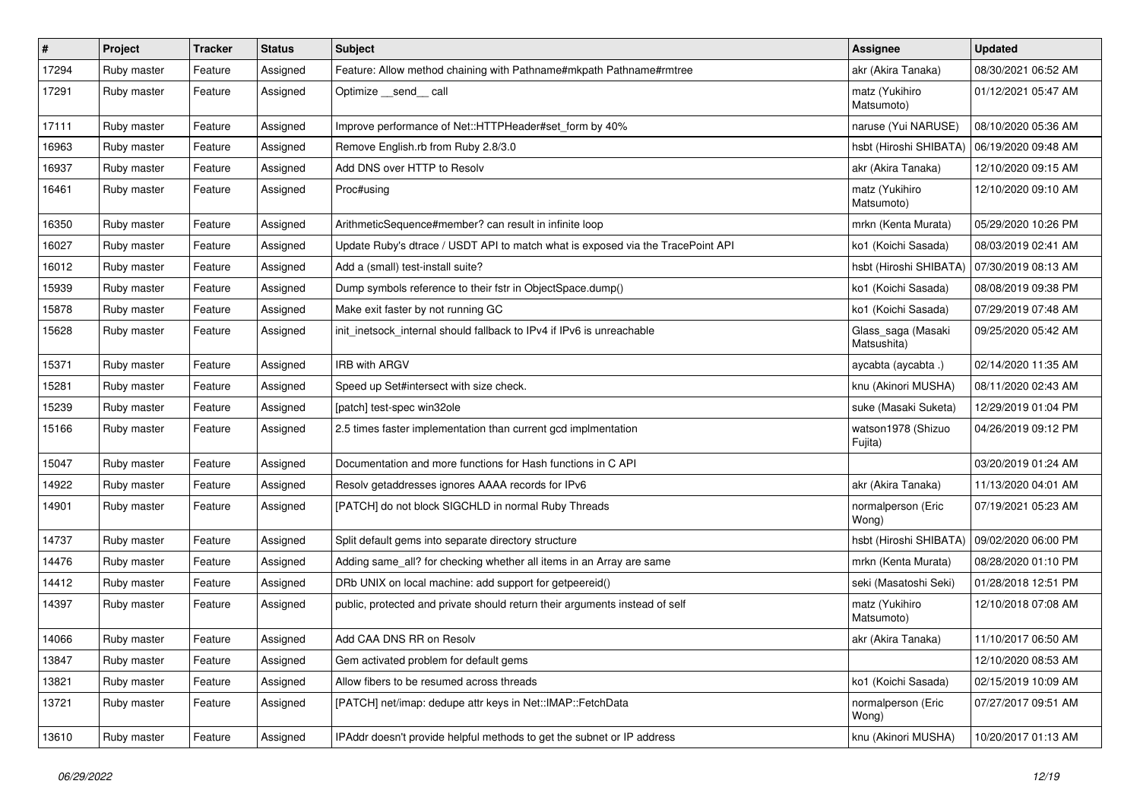| #     | Project     | <b>Tracker</b> | <b>Status</b> | <b>Subject</b>                                                                  | <b>Assignee</b>                   | <b>Updated</b>      |
|-------|-------------|----------------|---------------|---------------------------------------------------------------------------------|-----------------------------------|---------------------|
| 17294 | Ruby master | Feature        | Assigned      | Feature: Allow method chaining with Pathname#mkpath Pathname#rmtree             | akr (Akira Tanaka)                | 08/30/2021 06:52 AM |
| 17291 | Ruby master | Feature        | Assigned      | Optimize __send__ call                                                          | matz (Yukihiro<br>Matsumoto)      | 01/12/2021 05:47 AM |
| 17111 | Ruby master | Feature        | Assigned      | Improve performance of Net::HTTPHeader#set_form by 40%                          | naruse (Yui NARUSE)               | 08/10/2020 05:36 AM |
| 16963 | Ruby master | Feature        | Assigned      | Remove English.rb from Ruby 2.8/3.0                                             | hsbt (Hiroshi SHIBATA)            | 06/19/2020 09:48 AM |
| 16937 | Ruby master | Feature        | Assigned      | Add DNS over HTTP to Resolv                                                     | akr (Akira Tanaka)                | 12/10/2020 09:15 AM |
| 16461 | Ruby master | Feature        | Assigned      | Proc#using                                                                      | matz (Yukihiro<br>Matsumoto)      | 12/10/2020 09:10 AM |
| 16350 | Ruby master | Feature        | Assigned      | ArithmeticSequence#member? can result in infinite loop                          | mrkn (Kenta Murata)               | 05/29/2020 10:26 PM |
| 16027 | Ruby master | Feature        | Assigned      | Update Ruby's dtrace / USDT API to match what is exposed via the TracePoint API | ko1 (Koichi Sasada)               | 08/03/2019 02:41 AM |
| 16012 | Ruby master | Feature        | Assigned      | Add a (small) test-install suite?                                               | hsbt (Hiroshi SHIBATA)            | 07/30/2019 08:13 AM |
| 15939 | Ruby master | Feature        | Assigned      | Dump symbols reference to their fstr in ObjectSpace.dump()                      | ko1 (Koichi Sasada)               | 08/08/2019 09:38 PM |
| 15878 | Ruby master | Feature        | Assigned      | Make exit faster by not running GC                                              | ko1 (Koichi Sasada)               | 07/29/2019 07:48 AM |
| 15628 | Ruby master | Feature        | Assigned      | init_inetsock_internal should fallback to IPv4 if IPv6 is unreachable           | Glass_saga (Masaki<br>Matsushita) | 09/25/2020 05:42 AM |
| 15371 | Ruby master | Feature        | Assigned      | <b>IRB with ARGV</b>                                                            | aycabta (aycabta .)               | 02/14/2020 11:35 AM |
| 15281 | Ruby master | Feature        | Assigned      | Speed up Set#intersect with size check.                                         | knu (Akinori MUSHA)               | 08/11/2020 02:43 AM |
| 15239 | Ruby master | Feature        | Assigned      | [patch] test-spec win32ole                                                      | suke (Masaki Suketa)              | 12/29/2019 01:04 PM |
| 15166 | Ruby master | Feature        | Assigned      | 2.5 times faster implementation than current gcd implmentation                  | watson1978 (Shizuo<br>Fujita)     | 04/26/2019 09:12 PM |
| 15047 | Ruby master | Feature        | Assigned      | Documentation and more functions for Hash functions in C API                    |                                   | 03/20/2019 01:24 AM |
| 14922 | Ruby master | Feature        | Assigned      | Resolv getaddresses ignores AAAA records for IPv6                               | akr (Akira Tanaka)                | 11/13/2020 04:01 AM |
| 14901 | Ruby master | Feature        | Assigned      | [PATCH] do not block SIGCHLD in normal Ruby Threads                             | normalperson (Eric<br>Wong)       | 07/19/2021 05:23 AM |
| 14737 | Ruby master | Feature        | Assigned      | Split default gems into separate directory structure                            | hsbt (Hiroshi SHIBATA)            | 09/02/2020 06:00 PM |
| 14476 | Ruby master | Feature        | Assigned      | Adding same_all? for checking whether all items in an Array are same            | mrkn (Kenta Murata)               | 08/28/2020 01:10 PM |
| 14412 | Ruby master | Feature        | Assigned      | DRb UNIX on local machine: add support for getpeereid()                         | seki (Masatoshi Seki)             | 01/28/2018 12:51 PM |
| 14397 | Ruby master | Feature        | Assigned      | public, protected and private should return their arguments instead of self     | matz (Yukihiro<br>Matsumoto)      | 12/10/2018 07:08 AM |
| 14066 | Ruby master | Feature        | Assigned      | Add CAA DNS RR on Resolv                                                        | akr (Akira Tanaka)                | 11/10/2017 06:50 AM |
| 13847 | Ruby master | Feature        | Assigned      | Gem activated problem for default gems                                          |                                   | 12/10/2020 08:53 AM |
| 13821 | Ruby master | Feature        | Assigned      | Allow fibers to be resumed across threads                                       | ko1 (Koichi Sasada)               | 02/15/2019 10:09 AM |
| 13721 | Ruby master | Feature        | Assigned      | [PATCH] net/imap: dedupe attr keys in Net::IMAP::FetchData                      | normalperson (Eric<br>Wong)       | 07/27/2017 09:51 AM |
| 13610 | Ruby master | Feature        | Assigned      | IPAddr doesn't provide helpful methods to get the subnet or IP address          | knu (Akinori MUSHA)               | 10/20/2017 01:13 AM |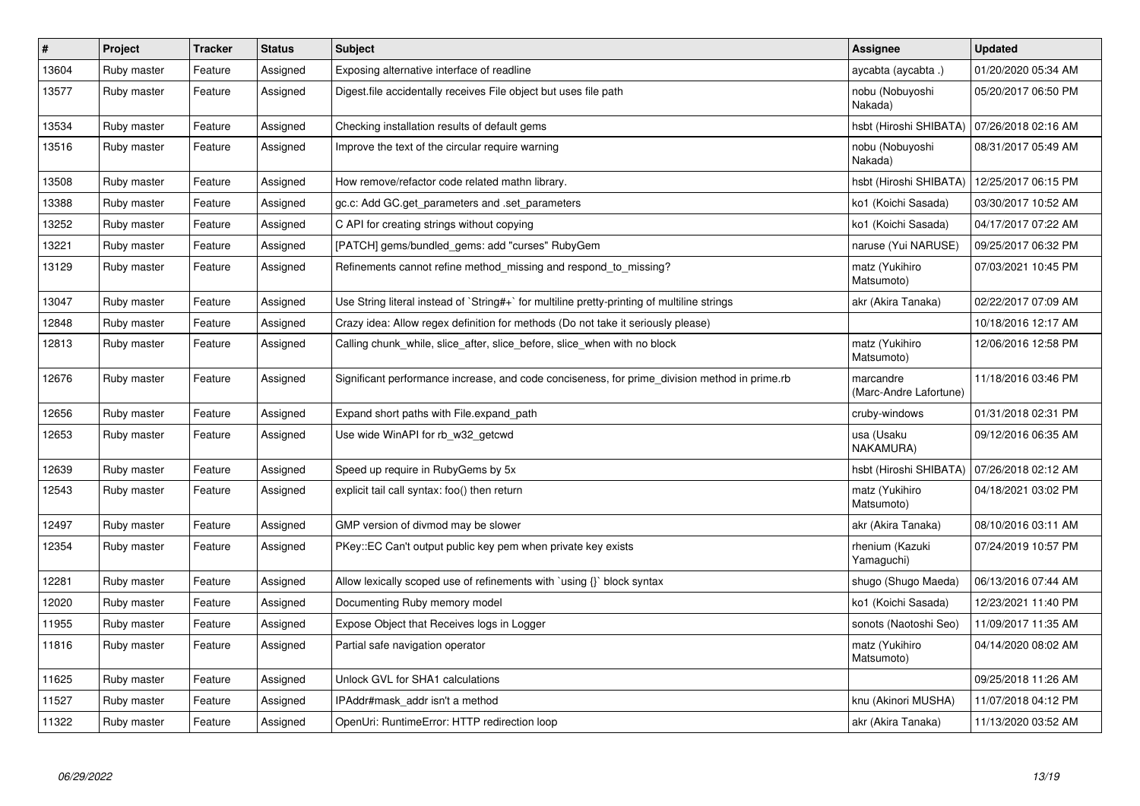| $\pmb{\#}$ | Project     | <b>Tracker</b> | <b>Status</b> | <b>Subject</b>                                                                                | Assignee                            | <b>Updated</b>      |
|------------|-------------|----------------|---------------|-----------------------------------------------------------------------------------------------|-------------------------------------|---------------------|
| 13604      | Ruby master | Feature        | Assigned      | Exposing alternative interface of readline                                                    | aycabta (aycabta.)                  | 01/20/2020 05:34 AM |
| 13577      | Ruby master | Feature        | Assigned      | Digest file accidentally receives File object but uses file path                              | nobu (Nobuyoshi<br>Nakada)          | 05/20/2017 06:50 PM |
| 13534      | Ruby master | Feature        | Assigned      | Checking installation results of default gems                                                 | hsbt (Hiroshi SHIBATA)              | 07/26/2018 02:16 AM |
| 13516      | Ruby master | Feature        | Assigned      | Improve the text of the circular require warning                                              | nobu (Nobuyoshi<br>Nakada)          | 08/31/2017 05:49 AM |
| 13508      | Ruby master | Feature        | Assigned      | How remove/refactor code related mathn library.                                               | hsbt (Hiroshi SHIBATA)              | 12/25/2017 06:15 PM |
| 13388      | Ruby master | Feature        | Assigned      | gc.c: Add GC.get_parameters and .set_parameters                                               | ko1 (Koichi Sasada)                 | 03/30/2017 10:52 AM |
| 13252      | Ruby master | Feature        | Assigned      | C API for creating strings without copying                                                    | ko1 (Koichi Sasada)                 | 04/17/2017 07:22 AM |
| 13221      | Ruby master | Feature        | Assigned      | [PATCH] gems/bundled_gems: add "curses" RubyGem                                               | naruse (Yui NARUSE)                 | 09/25/2017 06:32 PM |
| 13129      | Ruby master | Feature        | Assigned      | Refinements cannot refine method missing and respond to missing?                              | matz (Yukihiro<br>Matsumoto)        | 07/03/2021 10:45 PM |
| 13047      | Ruby master | Feature        | Assigned      | Use String literal instead of `String#+` for multiline pretty-printing of multiline strings   | akr (Akira Tanaka)                  | 02/22/2017 07:09 AM |
| 12848      | Ruby master | Feature        | Assigned      | Crazy idea: Allow regex definition for methods (Do not take it seriously please)              |                                     | 10/18/2016 12:17 AM |
| 12813      | Ruby master | Feature        | Assigned      | Calling chunk_while, slice_after, slice_before, slice_when with no block                      | matz (Yukihiro<br>Matsumoto)        | 12/06/2016 12:58 PM |
| 12676      | Ruby master | Feature        | Assigned      | Significant performance increase, and code conciseness, for prime division method in prime.rb | marcandre<br>(Marc-Andre Lafortune) | 11/18/2016 03:46 PM |
| 12656      | Ruby master | Feature        | Assigned      | Expand short paths with File.expand path                                                      | cruby-windows                       | 01/31/2018 02:31 PM |
| 12653      | Ruby master | Feature        | Assigned      | Use wide WinAPI for rb w32 getcwd                                                             | usa (Usaku<br>NAKAMURA)             | 09/12/2016 06:35 AM |
| 12639      | Ruby master | Feature        | Assigned      | Speed up require in RubyGems by 5x                                                            | hsbt (Hiroshi SHIBATA)              | 07/26/2018 02:12 AM |
| 12543      | Ruby master | Feature        | Assigned      | explicit tail call syntax: foo() then return                                                  | matz (Yukihiro<br>Matsumoto)        | 04/18/2021 03:02 PM |
| 12497      | Ruby master | Feature        | Assigned      | GMP version of divmod may be slower                                                           | akr (Akira Tanaka)                  | 08/10/2016 03:11 AM |
| 12354      | Ruby master | Feature        | Assigned      | PKey::EC Can't output public key pem when private key exists                                  | rhenium (Kazuki<br>Yamaguchi)       | 07/24/2019 10:57 PM |
| 12281      | Ruby master | Feature        | Assigned      | Allow lexically scoped use of refinements with `using {}` block syntax                        | shugo (Shugo Maeda)                 | 06/13/2016 07:44 AM |
| 12020      | Ruby master | Feature        | Assigned      | Documenting Ruby memory model                                                                 | ko1 (Koichi Sasada)                 | 12/23/2021 11:40 PM |
| 11955      | Ruby master | Feature        | Assigned      | Expose Object that Receives logs in Logger                                                    | sonots (Naotoshi Seo)               | 11/09/2017 11:35 AM |
| 11816      | Ruby master | Feature        | Assigned      | Partial safe navigation operator                                                              | matz (Yukihiro<br>Matsumoto)        | 04/14/2020 08:02 AM |
| 11625      | Ruby master | Feature        | Assigned      | Unlock GVL for SHA1 calculations                                                              |                                     | 09/25/2018 11:26 AM |
| 11527      | Ruby master | Feature        | Assigned      | IPAddr#mask addr isn't a method                                                               | knu (Akinori MUSHA)                 | 11/07/2018 04:12 PM |
| 11322      | Ruby master | Feature        | Assigned      | OpenUri: RuntimeError: HTTP redirection loop                                                  | akr (Akira Tanaka)                  | 11/13/2020 03:52 AM |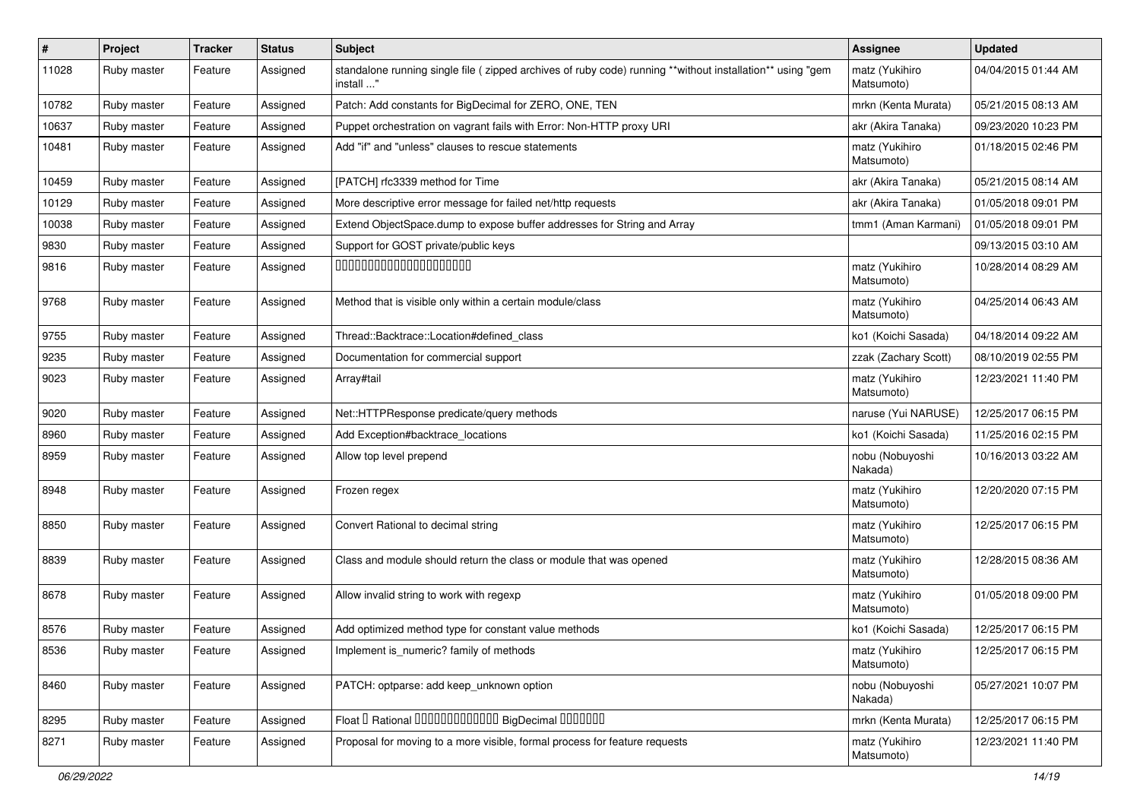| #     | Project     | <b>Tracker</b> | <b>Status</b> | <b>Subject</b>                                                                                                         | <b>Assignee</b>              | <b>Updated</b>      |
|-------|-------------|----------------|---------------|------------------------------------------------------------------------------------------------------------------------|------------------------------|---------------------|
| 11028 | Ruby master | Feature        | Assigned      | standalone running single file (zipped archives of ruby code) running **without installation** using "gem<br>install " | matz (Yukihiro<br>Matsumoto) | 04/04/2015 01:44 AM |
| 10782 | Ruby master | Feature        | Assigned      | Patch: Add constants for BigDecimal for ZERO, ONE, TEN                                                                 | mrkn (Kenta Murata)          | 05/21/2015 08:13 AM |
| 10637 | Ruby master | Feature        | Assigned      | Puppet orchestration on vagrant fails with Error: Non-HTTP proxy URI                                                   | akr (Akira Tanaka)           | 09/23/2020 10:23 PM |
| 10481 | Ruby master | Feature        | Assigned      | Add "if" and "unless" clauses to rescue statements                                                                     | matz (Yukihiro<br>Matsumoto) | 01/18/2015 02:46 PM |
| 10459 | Ruby master | Feature        | Assigned      | [PATCH] rfc3339 method for Time                                                                                        | akr (Akira Tanaka)           | 05/21/2015 08:14 AM |
| 10129 | Ruby master | Feature        | Assigned      | More descriptive error message for failed net/http requests                                                            | akr (Akira Tanaka)           | 01/05/2018 09:01 PM |
| 10038 | Ruby master | Feature        | Assigned      | Extend ObjectSpace.dump to expose buffer addresses for String and Array                                                | tmm1 (Aman Karmani)          | 01/05/2018 09:01 PM |
| 9830  | Ruby master | Feature        | Assigned      | Support for GOST private/public keys                                                                                   |                              | 09/13/2015 03:10 AM |
| 9816  | Ruby master | Feature        | Assigned      | 00000000000000000000                                                                                                   | matz (Yukihiro<br>Matsumoto) | 10/28/2014 08:29 AM |
| 9768  | Ruby master | Feature        | Assigned      | Method that is visible only within a certain module/class                                                              | matz (Yukihiro<br>Matsumoto) | 04/25/2014 06:43 AM |
| 9755  | Ruby master | Feature        | Assigned      | Thread::Backtrace::Location#defined_class                                                                              | ko1 (Koichi Sasada)          | 04/18/2014 09:22 AM |
| 9235  | Ruby master | Feature        | Assigned      | Documentation for commercial support                                                                                   | zzak (Zachary Scott)         | 08/10/2019 02:55 PM |
| 9023  | Ruby master | Feature        | Assigned      | Array#tail                                                                                                             | matz (Yukihiro<br>Matsumoto) | 12/23/2021 11:40 PM |
| 9020  | Ruby master | Feature        | Assigned      | Net::HTTPResponse predicate/query methods                                                                              | naruse (Yui NARUSE)          | 12/25/2017 06:15 PM |
| 8960  | Ruby master | Feature        | Assigned      | Add Exception#backtrace_locations                                                                                      | ko1 (Koichi Sasada)          | 11/25/2016 02:15 PM |
| 8959  | Ruby master | Feature        | Assigned      | Allow top level prepend                                                                                                | nobu (Nobuyoshi<br>Nakada)   | 10/16/2013 03:22 AM |
| 8948  | Ruby master | Feature        | Assigned      | Frozen regex                                                                                                           | matz (Yukihiro<br>Matsumoto) | 12/20/2020 07:15 PM |
| 8850  | Ruby master | Feature        | Assigned      | Convert Rational to decimal string                                                                                     | matz (Yukihiro<br>Matsumoto) | 12/25/2017 06:15 PM |
| 8839  | Ruby master | Feature        | Assigned      | Class and module should return the class or module that was opened                                                     | matz (Yukihiro<br>Matsumoto) | 12/28/2015 08:36 AM |
| 8678  | Ruby master | Feature        | Assigned      | Allow invalid string to work with regexp                                                                               | matz (Yukihiro<br>Matsumoto) | 01/05/2018 09:00 PM |
| 8576  | Ruby master | Feature        | Assigned      | Add optimized method type for constant value methods                                                                   | ko1 (Koichi Sasada)          | 12/25/2017 06:15 PM |
| 8536  | Ruby master | Feature        | Assigned      | Implement is_numeric? family of methods                                                                                | matz (Yukihiro<br>Matsumoto) | 12/25/2017 06:15 PM |
| 8460  | Ruby master | Feature        | Assigned      | PATCH: optparse: add keep_unknown option                                                                               | nobu (Nobuyoshi<br>Nakada)   | 05/27/2021 10:07 PM |
| 8295  | Ruby master | Feature        | Assigned      | Float I Rational 0000000000000 BigDecimal 0000000                                                                      | mrkn (Kenta Murata)          | 12/25/2017 06:15 PM |
| 8271  | Ruby master | Feature        | Assigned      | Proposal for moving to a more visible, formal process for feature requests                                             | matz (Yukihiro<br>Matsumoto) | 12/23/2021 11:40 PM |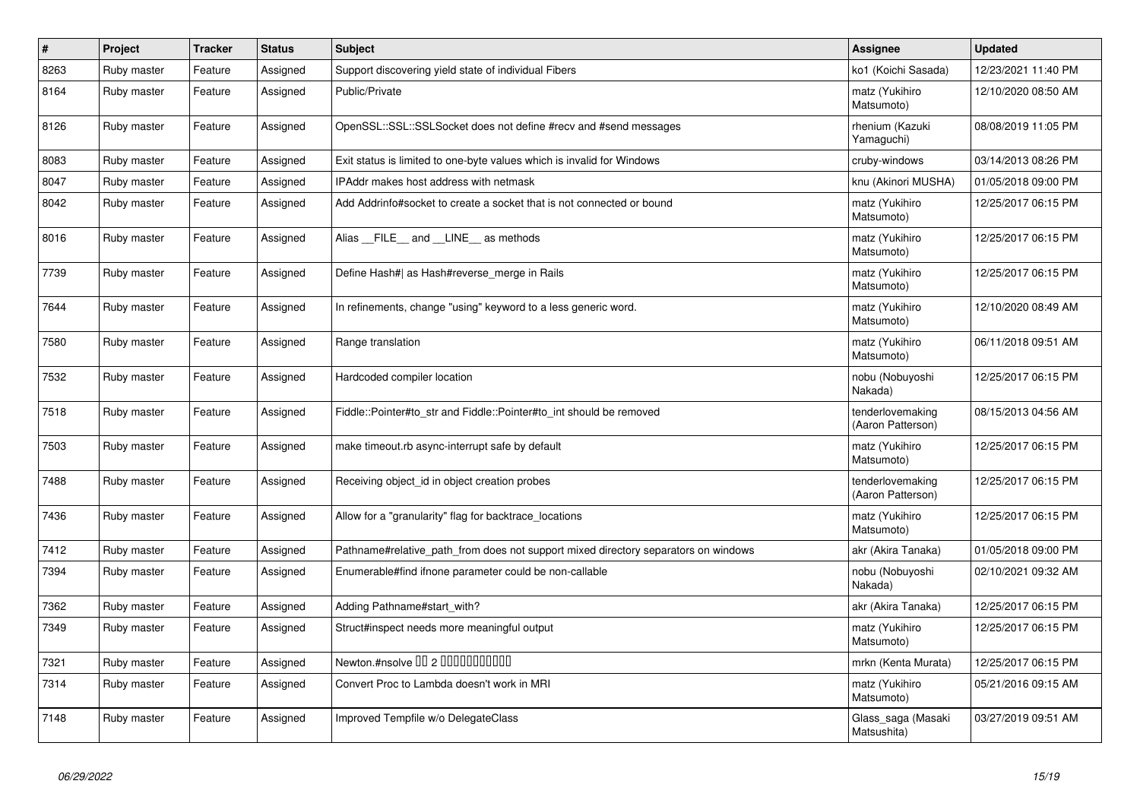| $\vert$ # | Project     | <b>Tracker</b> | <b>Status</b> | <b>Subject</b>                                                                     | <b>Assignee</b>                       | <b>Updated</b>      |
|-----------|-------------|----------------|---------------|------------------------------------------------------------------------------------|---------------------------------------|---------------------|
| 8263      | Ruby master | Feature        | Assigned      | Support discovering yield state of individual Fibers                               | ko1 (Koichi Sasada)                   | 12/23/2021 11:40 PM |
| 8164      | Ruby master | Feature        | Assigned      | Public/Private                                                                     | matz (Yukihiro<br>Matsumoto)          | 12/10/2020 08:50 AM |
| 8126      | Ruby master | Feature        | Assigned      | OpenSSL::SSL::SSLSocket does not define #recv and #send messages                   | rhenium (Kazuki<br>Yamaguchi)         | 08/08/2019 11:05 PM |
| 8083      | Ruby master | Feature        | Assigned      | Exit status is limited to one-byte values which is invalid for Windows             | cruby-windows                         | 03/14/2013 08:26 PM |
| 8047      | Ruby master | Feature        | Assigned      | IPAddr makes host address with netmask                                             | knu (Akinori MUSHA)                   | 01/05/2018 09:00 PM |
| 8042      | Ruby master | Feature        | Assigned      | Add Addrinfo#socket to create a socket that is not connected or bound              | matz (Yukihiro<br>Matsumoto)          | 12/25/2017 06:15 PM |
| 8016      | Ruby master | Feature        | Assigned      | Alias FILE and LINE as methods                                                     | matz (Yukihiro<br>Matsumoto)          | 12/25/2017 06:15 PM |
| 7739      | Ruby master | Feature        | Assigned      | Define Hash#  as Hash#reverse merge in Rails                                       | matz (Yukihiro<br>Matsumoto)          | 12/25/2017 06:15 PM |
| 7644      | Ruby master | Feature        | Assigned      | In refinements, change "using" keyword to a less generic word.                     | matz (Yukihiro<br>Matsumoto)          | 12/10/2020 08:49 AM |
| 7580      | Ruby master | Feature        | Assigned      | Range translation                                                                  | matz (Yukihiro<br>Matsumoto)          | 06/11/2018 09:51 AM |
| 7532      | Ruby master | Feature        | Assigned      | Hardcoded compiler location                                                        | nobu (Nobuyoshi<br>Nakada)            | 12/25/2017 06:15 PM |
| 7518      | Ruby master | Feature        | Assigned      | Fiddle::Pointer#to_str and Fiddle::Pointer#to_int should be removed                | tenderlovemaking<br>(Aaron Patterson) | 08/15/2013 04:56 AM |
| 7503      | Ruby master | Feature        | Assigned      | make timeout.rb async-interrupt safe by default                                    | matz (Yukihiro<br>Matsumoto)          | 12/25/2017 06:15 PM |
| 7488      | Ruby master | Feature        | Assigned      | Receiving object id in object creation probes                                      | tenderlovemaking<br>(Aaron Patterson) | 12/25/2017 06:15 PM |
| 7436      | Ruby master | Feature        | Assigned      | Allow for a "granularity" flag for backtrace_locations                             | matz (Yukihiro<br>Matsumoto)          | 12/25/2017 06:15 PM |
| 7412      | Ruby master | Feature        | Assigned      | Pathname#relative_path_from does not support mixed directory separators on windows | akr (Akira Tanaka)                    | 01/05/2018 09:00 PM |
| 7394      | Ruby master | Feature        | Assigned      | Enumerable#find ifnone parameter could be non-callable                             | nobu (Nobuyoshi<br>Nakada)            | 02/10/2021 09:32 AM |
| 7362      | Ruby master | Feature        | Assigned      | Adding Pathname#start with?                                                        | akr (Akira Tanaka)                    | 12/25/2017 06:15 PM |
| 7349      | Ruby master | Feature        | Assigned      | Struct#inspect needs more meaningful output                                        | matz (Yukihiro<br>Matsumoto)          | 12/25/2017 06:15 PM |
| 7321      | Ruby master | Feature        | Assigned      | Newton.#nsolve 00 2 0000000000                                                     | mrkn (Kenta Murata)                   | 12/25/2017 06:15 PM |
| 7314      | Ruby master | Feature        | Assigned      | Convert Proc to Lambda doesn't work in MRI                                         | matz (Yukihiro<br>Matsumoto)          | 05/21/2016 09:15 AM |
| 7148      | Ruby master | Feature        | Assigned      | Improved Tempfile w/o DelegateClass                                                | Glass_saga (Masaki<br>Matsushita)     | 03/27/2019 09:51 AM |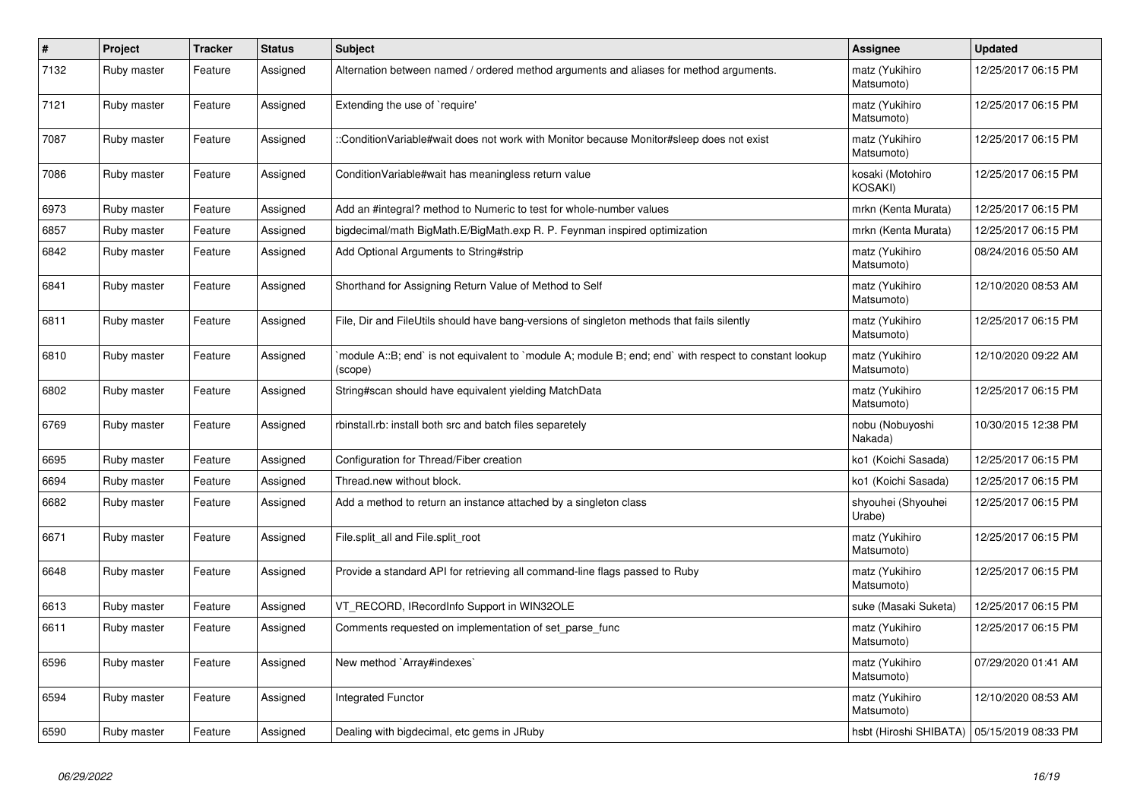| $\#$ | Project     | <b>Tracker</b> | <b>Status</b> | <b>Subject</b>                                                                                                   | Assignee                                     | <b>Updated</b>      |
|------|-------------|----------------|---------------|------------------------------------------------------------------------------------------------------------------|----------------------------------------------|---------------------|
| 7132 | Ruby master | Feature        | Assigned      | Alternation between named / ordered method arguments and aliases for method arguments.                           | matz (Yukihiro<br>Matsumoto)                 | 12/25/2017 06:15 PM |
| 7121 | Ruby master | Feature        | Assigned      | Extending the use of `require'                                                                                   | matz (Yukihiro<br>Matsumoto)                 | 12/25/2017 06:15 PM |
| 7087 | Ruby master | Feature        | Assigned      | :ConditionVariable#wait does not work with Monitor because Monitor#sleep does not exist                          | matz (Yukihiro<br>Matsumoto)                 | 12/25/2017 06:15 PM |
| 7086 | Ruby master | Feature        | Assigned      | ConditionVariable#wait has meaningless return value                                                              | kosaki (Motohiro<br>KOSAKI)                  | 12/25/2017 06:15 PM |
| 6973 | Ruby master | Feature        | Assigned      | Add an #integral? method to Numeric to test for whole-number values                                              | mrkn (Kenta Murata)                          | 12/25/2017 06:15 PM |
| 6857 | Ruby master | Feature        | Assigned      | bigdecimal/math BigMath.E/BigMath.exp R. P. Feynman inspired optimization                                        | mrkn (Kenta Murata)                          | 12/25/2017 06:15 PM |
| 6842 | Ruby master | Feature        | Assigned      | Add Optional Arguments to String#strip                                                                           | matz (Yukihiro<br>Matsumoto)                 | 08/24/2016 05:50 AM |
| 6841 | Ruby master | Feature        | Assigned      | Shorthand for Assigning Return Value of Method to Self                                                           | matz (Yukihiro<br>Matsumoto)                 | 12/10/2020 08:53 AM |
| 6811 | Ruby master | Feature        | Assigned      | File, Dir and FileUtils should have bang-versions of singleton methods that fails silently                       | matz (Yukihiro<br>Matsumoto)                 | 12/25/2017 06:15 PM |
| 6810 | Ruby master | Feature        | Assigned      | module A::B; end` is not equivalent to `module A; module B; end; end` with respect to constant lookup<br>(scope) | matz (Yukihiro<br>Matsumoto)                 | 12/10/2020 09:22 AM |
| 6802 | Ruby master | Feature        | Assigned      | String#scan should have equivalent yielding MatchData                                                            | matz (Yukihiro<br>Matsumoto)                 | 12/25/2017 06:15 PM |
| 6769 | Ruby master | Feature        | Assigned      | rbinstall.rb: install both src and batch files separetely                                                        | nobu (Nobuyoshi<br>Nakada)                   | 10/30/2015 12:38 PM |
| 6695 | Ruby master | Feature        | Assigned      | Configuration for Thread/Fiber creation                                                                          | ko1 (Koichi Sasada)                          | 12/25/2017 06:15 PM |
| 6694 | Ruby master | Feature        | Assigned      | Thread.new without block.                                                                                        | ko1 (Koichi Sasada)                          | 12/25/2017 06:15 PM |
| 6682 | Ruby master | Feature        | Assigned      | Add a method to return an instance attached by a singleton class                                                 | shyouhei (Shyouhei<br>Urabe)                 | 12/25/2017 06:15 PM |
| 6671 | Ruby master | Feature        | Assigned      | File.split_all and File.split_root                                                                               | matz (Yukihiro<br>Matsumoto)                 | 12/25/2017 06:15 PM |
| 6648 | Ruby master | Feature        | Assigned      | Provide a standard API for retrieving all command-line flags passed to Ruby                                      | matz (Yukihiro<br>Matsumoto)                 | 12/25/2017 06:15 PM |
| 6613 | Ruby master | Feature        | Assigned      | VT_RECORD, IRecordInfo Support in WIN32OLE                                                                       | suke (Masaki Suketa)                         | 12/25/2017 06:15 PM |
| 6611 | Ruby master | Feature        | Assigned      | Comments requested on implementation of set_parse_func                                                           | matz (Yukihiro<br>Matsumoto)                 | 12/25/2017 06:15 PM |
| 6596 | Ruby master | Feature        | Assigned      | New method `Array#indexes`                                                                                       | matz (Yukihiro<br>Matsumoto)                 | 07/29/2020 01:41 AM |
| 6594 | Ruby master | Feature        | Assigned      | <b>Integrated Functor</b>                                                                                        | matz (Yukihiro<br>Matsumoto)                 | 12/10/2020 08:53 AM |
| 6590 | Ruby master | Feature        | Assigned      | Dealing with bigdecimal, etc gems in JRuby                                                                       | hsbt (Hiroshi SHIBATA)   05/15/2019 08:33 PM |                     |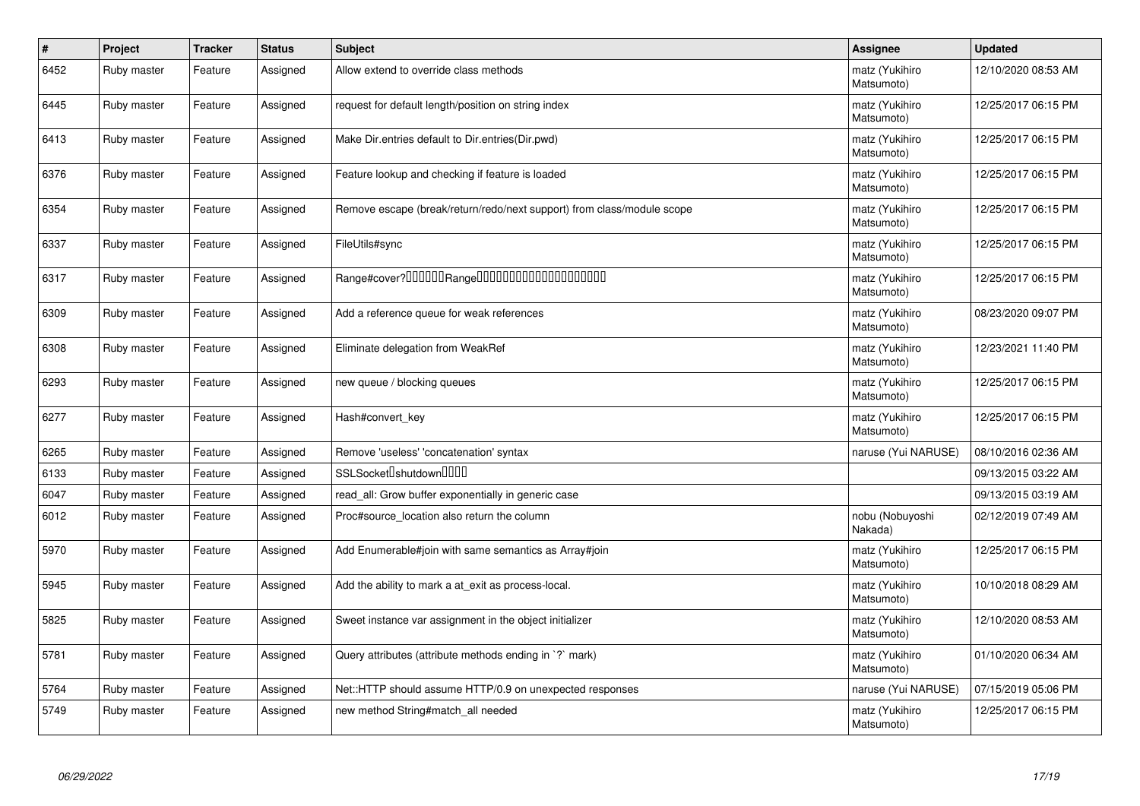| $\#$ | Project     | <b>Tracker</b> | <b>Status</b> | <b>Subject</b>                                                         | <b>Assignee</b>              | <b>Updated</b>      |
|------|-------------|----------------|---------------|------------------------------------------------------------------------|------------------------------|---------------------|
| 6452 | Ruby master | Feature        | Assigned      | Allow extend to override class methods                                 | matz (Yukihiro<br>Matsumoto) | 12/10/2020 08:53 AM |
| 6445 | Ruby master | Feature        | Assigned      | request for default length/position on string index                    | matz (Yukihiro<br>Matsumoto) | 12/25/2017 06:15 PM |
| 6413 | Ruby master | Feature        | Assigned      | Make Dir.entries default to Dir.entries(Dir.pwd)                       | matz (Yukihiro<br>Matsumoto) | 12/25/2017 06:15 PM |
| 6376 | Ruby master | Feature        | Assigned      | Feature lookup and checking if feature is loaded                       | matz (Yukihiro<br>Matsumoto) | 12/25/2017 06:15 PM |
| 6354 | Ruby master | Feature        | Assigned      | Remove escape (break/return/redo/next support) from class/module scope | matz (Yukihiro<br>Matsumoto) | 12/25/2017 06:15 PM |
| 6337 | Ruby master | Feature        | Assigned      | FileUtils#sync                                                         | matz (Yukihiro<br>Matsumoto) | 12/25/2017 06:15 PM |
| 6317 | Ruby master | Feature        | Assigned      | Range#cover?000000Range00000000000000000000                            | matz (Yukihiro<br>Matsumoto) | 12/25/2017 06:15 PM |
| 6309 | Ruby master | Feature        | Assigned      | Add a reference queue for weak references                              | matz (Yukihiro<br>Matsumoto) | 08/23/2020 09:07 PM |
| 6308 | Ruby master | Feature        | Assigned      | Eliminate delegation from WeakRef                                      | matz (Yukihiro<br>Matsumoto) | 12/23/2021 11:40 PM |
| 6293 | Ruby master | Feature        | Assigned      | new queue / blocking queues                                            | matz (Yukihiro<br>Matsumoto) | 12/25/2017 06:15 PM |
| 6277 | Ruby master | Feature        | Assigned      | Hash#convert_key                                                       | matz (Yukihiro<br>Matsumoto) | 12/25/2017 06:15 PM |
| 6265 | Ruby master | Feature        | Assigned      | Remove 'useless' 'concatenation' syntax                                | naruse (Yui NARUSE)          | 08/10/2016 02:36 AM |
| 6133 | Ruby master | Feature        | Assigned      | SSLSocket <sup>[</sup> shutdown <sup>[11]</sup>                        |                              | 09/13/2015 03:22 AM |
| 6047 | Ruby master | Feature        | Assigned      | read all: Grow buffer exponentially in generic case                    |                              | 09/13/2015 03:19 AM |
| 6012 | Ruby master | Feature        | Assigned      | Proc#source_location also return the column                            | nobu (Nobuyoshi<br>Nakada)   | 02/12/2019 07:49 AM |
| 5970 | Ruby master | Feature        | Assigned      | Add Enumerable#join with same semantics as Array#join                  | matz (Yukihiro<br>Matsumoto) | 12/25/2017 06:15 PM |
| 5945 | Ruby master | Feature        | Assigned      | Add the ability to mark a at exit as process-local.                    | matz (Yukihiro<br>Matsumoto) | 10/10/2018 08:29 AM |
| 5825 | Ruby master | Feature        | Assigned      | Sweet instance var assignment in the object initializer                | matz (Yukihiro<br>Matsumoto) | 12/10/2020 08:53 AM |
| 5781 | Ruby master | Feature        | Assigned      | Query attributes (attribute methods ending in `?` mark)                | matz (Yukihiro<br>Matsumoto) | 01/10/2020 06:34 AM |
| 5764 | Ruby master | Feature        | Assigned      | Net::HTTP should assume HTTP/0.9 on unexpected responses               | naruse (Yui NARUSE)          | 07/15/2019 05:06 PM |
| 5749 | Ruby master | Feature        | Assigned      | new method String#match all needed                                     | matz (Yukihiro<br>Matsumoto) | 12/25/2017 06:15 PM |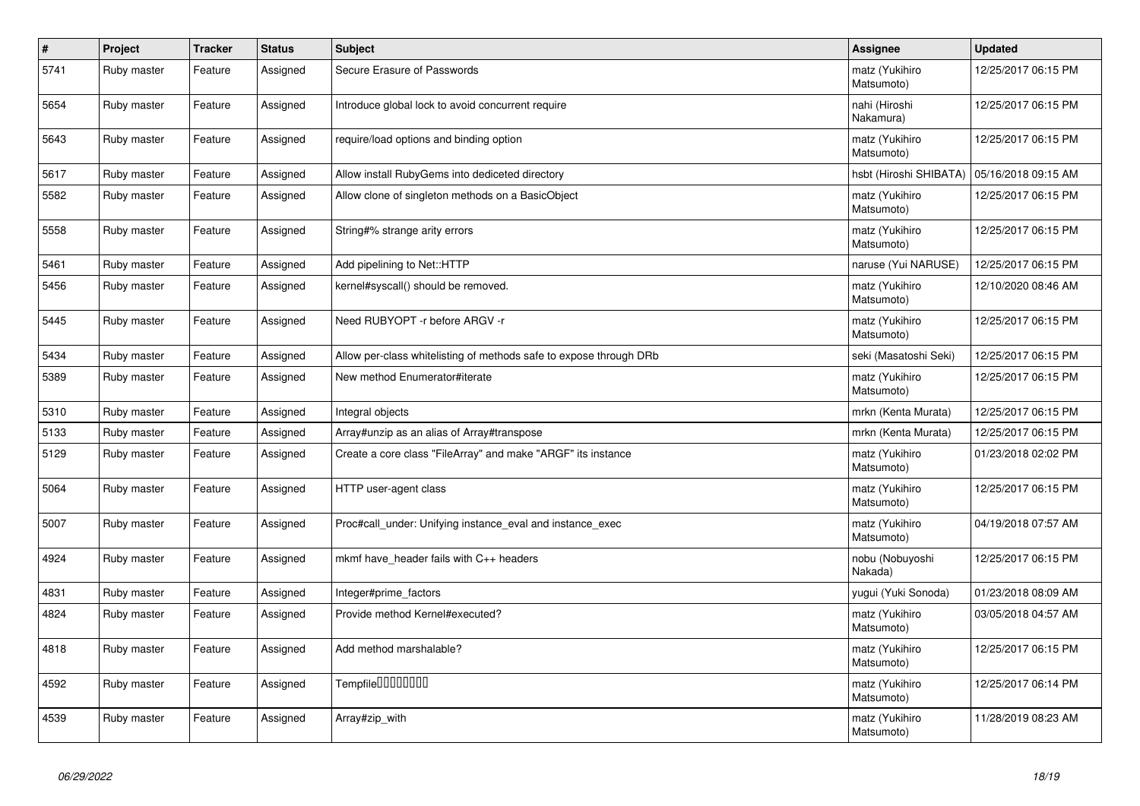| $\pmb{\#}$ | Project     | <b>Tracker</b> | <b>Status</b> | <b>Subject</b>                                                     | Assignee                     | <b>Updated</b>      |
|------------|-------------|----------------|---------------|--------------------------------------------------------------------|------------------------------|---------------------|
| 5741       | Ruby master | Feature        | Assigned      | Secure Erasure of Passwords                                        | matz (Yukihiro<br>Matsumoto) | 12/25/2017 06:15 PM |
| 5654       | Ruby master | Feature        | Assigned      | Introduce global lock to avoid concurrent require                  | nahi (Hiroshi<br>Nakamura)   | 12/25/2017 06:15 PM |
| 5643       | Ruby master | Feature        | Assigned      | require/load options and binding option                            | matz (Yukihiro<br>Matsumoto) | 12/25/2017 06:15 PM |
| 5617       | Ruby master | Feature        | Assigned      | Allow install RubyGems into dediceted directory                    | hsbt (Hiroshi SHIBATA)       | 05/16/2018 09:15 AM |
| 5582       | Ruby master | Feature        | Assigned      | Allow clone of singleton methods on a BasicObject                  | matz (Yukihiro<br>Matsumoto) | 12/25/2017 06:15 PM |
| 5558       | Ruby master | Feature        | Assigned      | String#% strange arity errors                                      | matz (Yukihiro<br>Matsumoto) | 12/25/2017 06:15 PM |
| 5461       | Ruby master | Feature        | Assigned      | Add pipelining to Net::HTTP                                        | naruse (Yui NARUSE)          | 12/25/2017 06:15 PM |
| 5456       | Ruby master | Feature        | Assigned      | kernel#syscall() should be removed.                                | matz (Yukihiro<br>Matsumoto) | 12/10/2020 08:46 AM |
| 5445       | Ruby master | Feature        | Assigned      | Need RUBYOPT -r before ARGV -r                                     | matz (Yukihiro<br>Matsumoto) | 12/25/2017 06:15 PM |
| 5434       | Ruby master | Feature        | Assigned      | Allow per-class whitelisting of methods safe to expose through DRb | seki (Masatoshi Seki)        | 12/25/2017 06:15 PM |
| 5389       | Ruby master | Feature        | Assigned      | New method Enumerator#iterate                                      | matz (Yukihiro<br>Matsumoto) | 12/25/2017 06:15 PM |
| 5310       | Ruby master | Feature        | Assigned      | Integral objects                                                   | mrkn (Kenta Murata)          | 12/25/2017 06:15 PM |
| 5133       | Ruby master | Feature        | Assigned      | Array#unzip as an alias of Array#transpose                         | mrkn (Kenta Murata)          | 12/25/2017 06:15 PM |
| 5129       | Ruby master | Feature        | Assigned      | Create a core class "FileArray" and make "ARGF" its instance       | matz (Yukihiro<br>Matsumoto) | 01/23/2018 02:02 PM |
| 5064       | Ruby master | Feature        | Assigned      | HTTP user-agent class                                              | matz (Yukihiro<br>Matsumoto) | 12/25/2017 06:15 PM |
| 5007       | Ruby master | Feature        | Assigned      | Proc#call under: Unifying instance eval and instance exec          | matz (Yukihiro<br>Matsumoto) | 04/19/2018 07:57 AM |
| 4924       | Ruby master | Feature        | Assigned      | mkmf have_header fails with C++ headers                            | nobu (Nobuyoshi<br>Nakada)   | 12/25/2017 06:15 PM |
| 4831       | Ruby master | Feature        | Assigned      | Integer#prime_factors                                              | yugui (Yuki Sonoda)          | 01/23/2018 08:09 AM |
| 4824       | Ruby master | Feature        | Assigned      | Provide method Kernel#executed?                                    | matz (Yukihiro<br>Matsumoto) | 03/05/2018 04:57 AM |
| 4818       | Ruby master | Feature        | Assigned      | Add method marshalable?                                            | matz (Yukihiro<br>Matsumoto) | 12/25/2017 06:15 PM |
| 4592       | Ruby master | Feature        | Assigned      | Tempfile <sup>[1010101011]</sup>                                   | matz (Yukihiro<br>Matsumoto) | 12/25/2017 06:14 PM |
| 4539       | Ruby master | Feature        | Assigned      | Array#zip_with                                                     | matz (Yukihiro<br>Matsumoto) | 11/28/2019 08:23 AM |